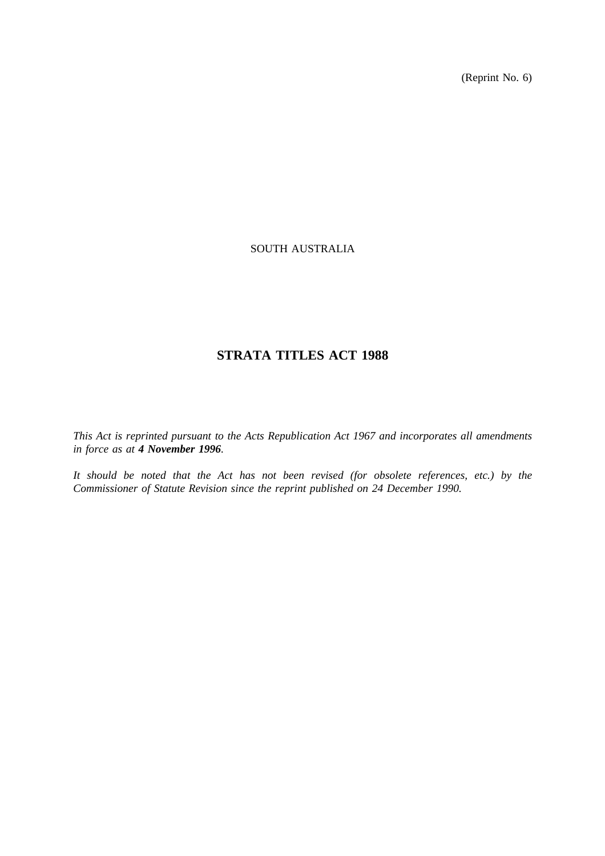(Reprint No. 6)

# SOUTH AUSTRALIA

# **STRATA TITLES ACT 1988**

*This Act is reprinted pursuant to the Acts Republication Act 1967 and incorporates all amendments in force as at 4 November 1996.*

*It should be noted that the Act has not been revised (for obsolete references, etc.) by the Commissioner of Statute Revision since the reprint published on 24 December 1990.*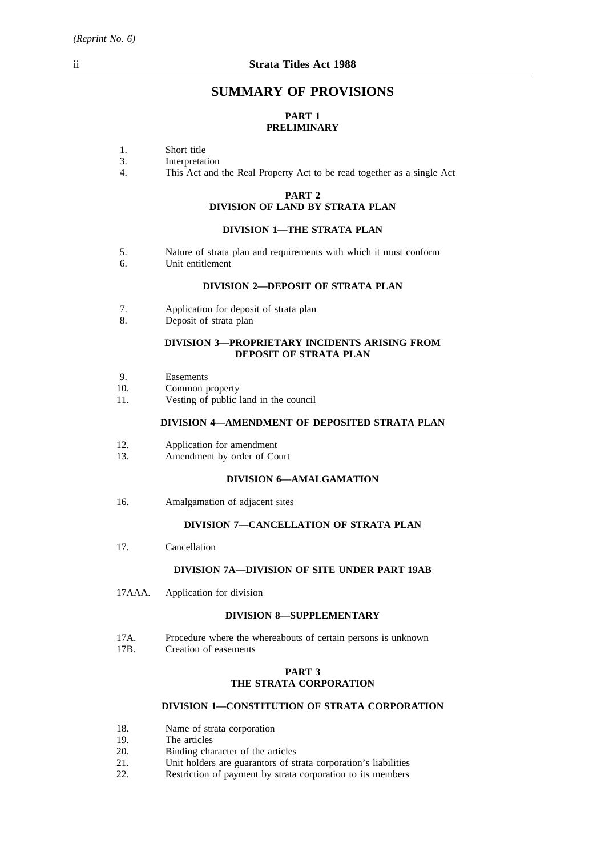# **SUMMARY OF PROVISIONS**

# **PART 1 PRELIMINARY**

- 1. Short title<br>3. Interpretat
- 3. Interpretation<br>4. This Act and
- This Act and the Real Property Act to be read together as a single Act

# **PART 2**

# **DIVISION OF LAND BY STRATA PLAN**

# **DIVISION 1—THE STRATA PLAN**

- 5. Nature of strata plan and requirements with which it must conform<br>6. Unit entitlement
- Unit entitlement

# **DIVISION 2—DEPOSIT OF STRATA PLAN**

- 7. Application for deposit of strata plan
- 8. Deposit of strata plan

### **DIVISION 3—PROPRIETARY INCIDENTS ARISING FROM DEPOSIT OF STRATA PLAN**

- 9. Easements
- 10. Common property
- 11. Vesting of public land in the council

### **DIVISION 4—AMENDMENT OF DEPOSITED STRATA PLAN**

- 12. Application for amendment
- 13. Amendment by order of Court

## **DIVISION 6—AMALGAMATION**

16. Amalgamation of adjacent sites

# **DIVISION 7—CANCELLATION OF STRATA PLAN**

17. Cancellation

## **DIVISION 7A—DIVISION OF SITE UNDER PART 19AB**

17AAA. Application for division

#### **DIVISION 8—SUPPLEMENTARY**

- 17A. Procedure where the whereabouts of certain persons is unknown<br>17B. Creation of easements
- Creation of easements

### **PART 3 THE STRATA CORPORATION**

# **DIVISION 1—CONSTITUTION OF STRATA CORPORATION**

- 18. Name of strata corporation<br>19. The articles
- 19. The articles<br>20. Binding cha
- 20. Binding character of the articles<br>21. Unit holders are guarantors of st
- 21. Unit holders are guarantors of strata corporation's liabilities<br>22. Restriction of payment by strata corporation to its members
- Restriction of payment by strata corporation to its members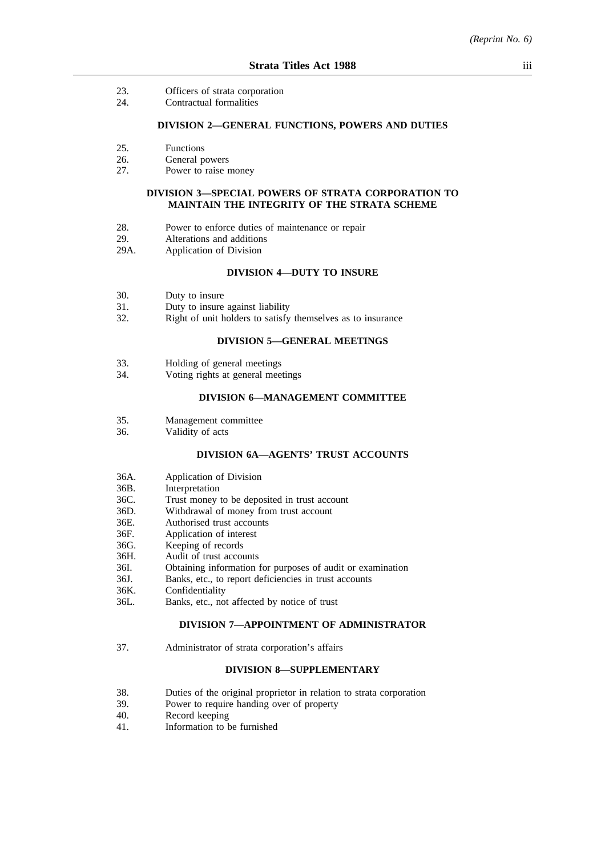- 23. Officers of strata corporation
- 24. Contractual formalities

#### **DIVISION 2—GENERAL FUNCTIONS, POWERS AND DUTIES**

- 25. Functions
- 26. General powers<br>27. Power to raise r
- Power to raise money

## **DIVISION 3—SPECIAL POWERS OF STRATA CORPORATION TO MAINTAIN THE INTEGRITY OF THE STRATA SCHEME**

- 28. Power to enforce duties of maintenance or repair
- 29. Alterations and additions
- 29A. Application of Division

# **DIVISION 4—DUTY TO INSURE**

- 30. Duty to insure
- 31. Duty to insure against liability
- 32. Right of unit holders to satisfy themselves as to insurance

# **DIVISION 5—GENERAL MEETINGS**

- 33. Holding of general meetings<br>34 Voting rights at general mee
- Voting rights at general meetings

# **DIVISION 6—MANAGEMENT COMMITTEE**

- 35. Management committee
- 36. Validity of acts

#### **DIVISION 6A—AGENTS' TRUST ACCOUNTS**

- 36A. Application of Division<br>36B. Interpretation
- **Interpretation**
- 36C. Trust money to be deposited in trust account
- 36D. Withdrawal of money from trust account
- 36E. Authorised trust accounts
- 36F. Application of interest
- 36G. Keeping of records
- 36H. Audit of trust accounts
- 36I. Obtaining information for purposes of audit or examination
- 36J. Banks, etc., to report deficiencies in trust accounts
- 36K. Confidentiality
- 36L. Banks, etc., not affected by notice of trust

#### **DIVISION 7—APPOINTMENT OF ADMINISTRATOR**

37. Administrator of strata corporation's affairs

#### **DIVISION 8—SUPPLEMENTARY**

- 38. Duties of the original proprietor in relation to strata corporation
- 39. Power to require handing over of property
- 40. Record keeping
- 41. Information to be furnished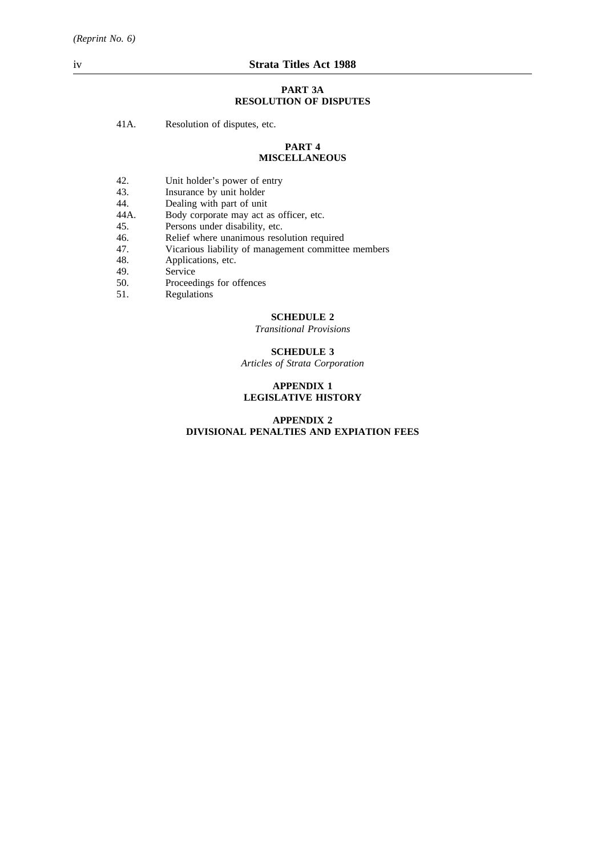#### **PART 3A RESOLUTION OF DISPUTES**

41A. Resolution of disputes, etc.

#### **PART 4 MISCELLANEOUS**

- 42. Unit holder's power of entry<br>43. Insurance by unit holder
- 43. Insurance by unit holder<br>44. Dealing with part of unit
- 44. Dealing with part of unit<br>44A. Body corporate may act a
- 44A. Body corporate may act as officer, etc.<br>45. Persons under disability, etc.
- 45. Persons under disability, etc.<br>46. Relief where unanimous reso
- Relief where unanimous resolution required
- 47. Vicarious liability of management committee members
- 48. Applications, etc.
- 49. Service<br>50. Proceed
- 50. Proceedings for offences<br>51. Regulations
- Regulations

### **SCHEDULE 2**

*Transitional Provisions*

# **SCHEDULE 3**

*Articles of Strata Corporation*

# **APPENDIX 1 LEGISLATIVE HISTORY**

# **APPENDIX 2 DIVISIONAL PENALTIES AND EXPIATION FEES**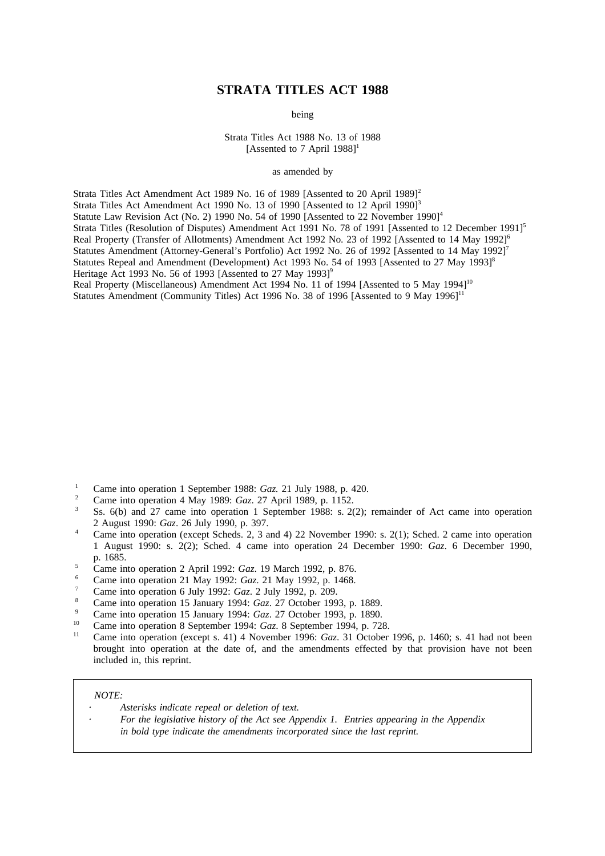# **STRATA TITLES ACT 1988**

being

Strata Titles Act 1988 No. 13 of 1988 [Assented to 7 April  $1988$ ]<sup>1</sup>

as amended by

Strata Titles Act Amendment Act 1989 No. 16 of 1989 [Assented to 20 April 1989]<sup>2</sup> Strata Titles Act Amendment Act 1990 No. 13 of 1990 [Assented to 12 April 1990]<sup>3</sup> Statute Law Revision Act (No. 2) 1990 No. 54 of 1990 [Assented to 22 November 1990]<sup>4</sup> Strata Titles (Resolution of Disputes) Amendment Act 1991 No. 78 of 1991 [Assented to 12 December 1991]<sup>5</sup> Real Property (Transfer of Allotments) Amendment Act 1992 No. 23 of 1992 [Assented to 14 May 1992]<sup>6</sup> Statutes Amendment (Attorney-General's Portfolio) Act 1992 No. 26 of 1992 [Assented to 14 May 1992]<sup>7</sup> Statutes Repeal and Amendment (Development) Act 1993 No. 54 of 1993 [Assented to 27 May 1993]<sup>8</sup> Heritage Act 1993 No. 56 of 1993 [Assented to 27 May 1993]<sup>9</sup> Real Property (Miscellaneous) Amendment Act 1994 No. 11 of 1994 [Assented to 5 May 1994]<sup>10</sup>

Statutes Amendment (Community Titles) Act 1996 No. 38 of 1996 [Assented to 9 May 1996] $^{11}$ 

- <sup>1</sup> Came into operation 1 September 1988: *Gaz.* 21 July 1988, p. 420.
- <sup>2</sup> Came into operation 4 May 1989: *Gaz*. 27 April 1989, p. 1152.
- Ss. 6(b) and 27 came into operation 1 September 1988: s. 2(2); remainder of Act came into operation 2 August 1990: *Gaz*. 26 July 1990, p. 397.
- <sup>4</sup> Came into operation (except Scheds. 2, 3 and 4) 22 November 1990: s. 2(1); Sched. 2 came into operation 1 August 1990: s. 2(2); Sched. 4 came into operation 24 December 1990: *Gaz*. 6 December 1990, p. 1685.
- <sup>5</sup> Came into operation 2 April 1992: *Gaz*. 19 March 1992, p. 876.
- <sup>6</sup> Came into operation 21 May 1992: *Gaz*. 21 May 1992, p. 1468.
- <sup>7</sup> Came into operation 6 July 1992: *Gaz*. 2 July 1992, p. 209.
- <sup>8</sup> Came into operation 15 January 1994: *Gaz*. 27 October 1993, p. 1889.
- <sup>9</sup> Came into operation 15 January 1994: *Gaz*. 27 October 1993, p. 1890.
- <sup>10</sup> Came into operation 8 September 1994: *Gaz*. 8 September 1994, p. 728.
- <sup>11</sup> Came into operation (except s. 41) 4 November 1996: *Gaz*. 31 October 1996, p. 1460; s. 41 had not been brought into operation at the date of, and the amendments effected by that provision have not been included in, this reprint.

#### *NOTE:*

- *Asterisks indicate repeal or deletion of text.*
	- *For the legislative history of the Act see Appendix 1. Entries appearing in the Appendix in bold type indicate the amendments incorporated since the last reprint.*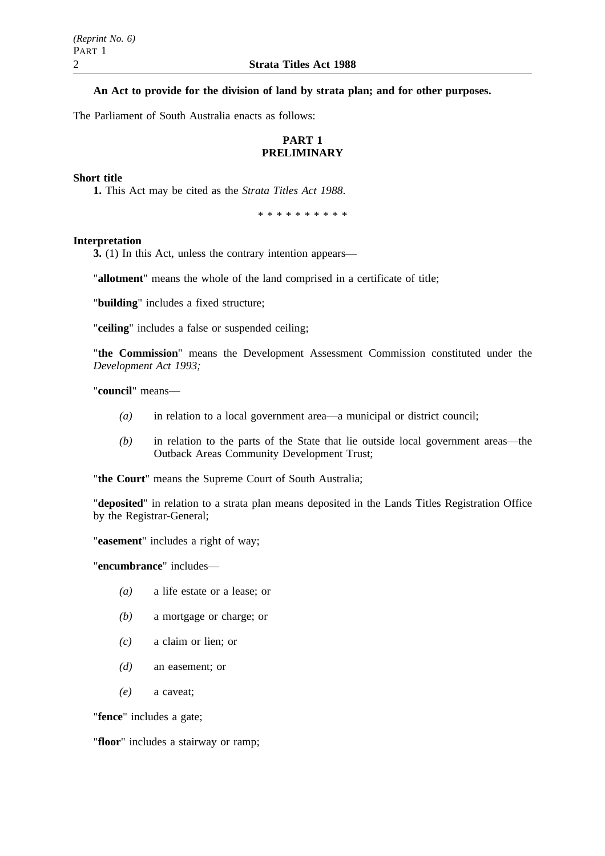# **An Act to provide for the division of land by strata plan; and for other purposes.**

The Parliament of South Australia enacts as follows:

# **PART 1 PRELIMINARY**

## **Short title**

**1.** This Act may be cited as the *Strata Titles Act 1988*.

\*\*\*\*\*\*\*\*\*\*

### **Interpretation**

**3.** (1) In this Act, unless the contrary intention appears—

"**allotment**" means the whole of the land comprised in a certificate of title;

"**building**" includes a fixed structure;

"**ceiling**" includes a false or suspended ceiling;

"**the Commission**" means the Development Assessment Commission constituted under the *Development Act 1993;*

"**council**" means—

- *(a)* in relation to a local government area—a municipal or district council;
- *(b)* in relation to the parts of the State that lie outside local government areas—the Outback Areas Community Development Trust;

"**the Court**" means the Supreme Court of South Australia;

"**deposited**" in relation to a strata plan means deposited in the Lands Titles Registration Office by the Registrar-General;

"**easement**" includes a right of way;

"**encumbrance**" includes—

- *(a)* a life estate or a lease; or
- *(b)* a mortgage or charge; or
- *(c)* a claim or lien; or
- *(d)* an easement; or
- *(e)* a caveat;

"**fence**" includes a gate;

"**floor**" includes a stairway or ramp;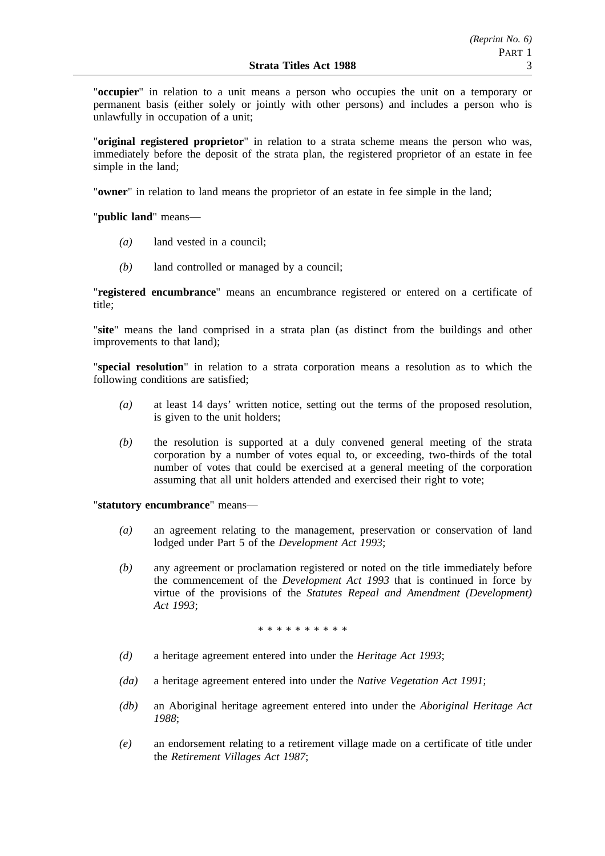"**occupier**" in relation to a unit means a person who occupies the unit on a temporary or permanent basis (either solely or jointly with other persons) and includes a person who is unlawfully in occupation of a unit;

"**original registered proprietor**" in relation to a strata scheme means the person who was, immediately before the deposit of the strata plan, the registered proprietor of an estate in fee simple in the land;

"**owner**" in relation to land means the proprietor of an estate in fee simple in the land;

"**public land**" means—

- *(a)* land vested in a council;
- *(b)* land controlled or managed by a council;

"**registered encumbrance**" means an encumbrance registered or entered on a certificate of title;

"**site**" means the land comprised in a strata plan (as distinct from the buildings and other improvements to that land);

"**special resolution**" in relation to a strata corporation means a resolution as to which the following conditions are satisfied;

- *(a)* at least 14 days' written notice, setting out the terms of the proposed resolution, is given to the unit holders;
- *(b)* the resolution is supported at a duly convened general meeting of the strata corporation by a number of votes equal to, or exceeding, two-thirds of the total number of votes that could be exercised at a general meeting of the corporation assuming that all unit holders attended and exercised their right to vote;

"**statutory encumbrance**" means—

- *(a)* an agreement relating to the management, preservation or conservation of land lodged under Part 5 of the *Development Act 1993*;
- *(b)* any agreement or proclamation registered or noted on the title immediately before the commencement of the *Development Act 1993* that is continued in force by virtue of the provisions of the *Statutes Repeal and Amendment (Development) Act 1993*;

\*\*\*\*\*\*\*\*\*\*

- *(d)* a heritage agreement entered into under the *Heritage Act 1993*;
- *(da)* a heritage agreement entered into under the *Native Vegetation Act 1991*;
- *(db)* an Aboriginal heritage agreement entered into under the *Aboriginal Heritage Act 1988*;
- *(e)* an endorsement relating to a retirement village made on a certificate of title under the *Retirement Villages Act 1987*;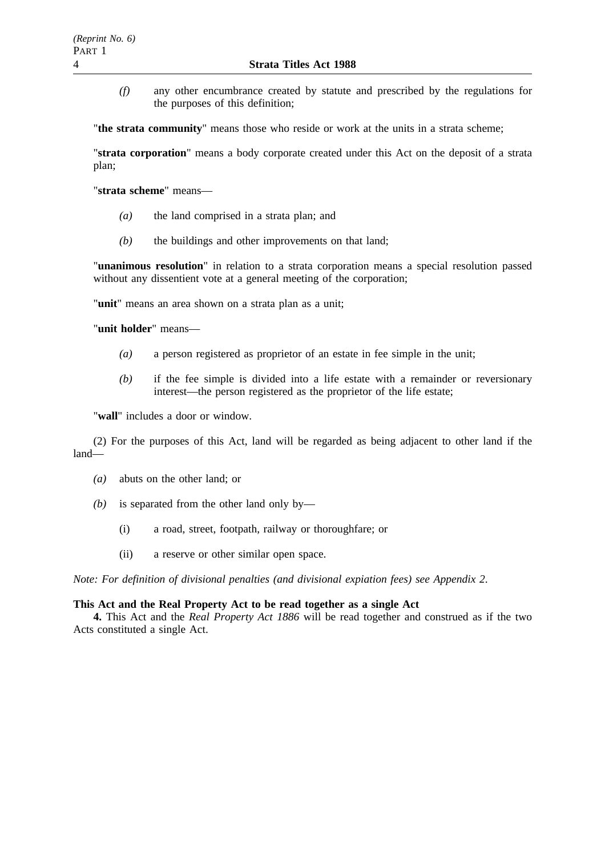*(f)* any other encumbrance created by statute and prescribed by the regulations for the purposes of this definition;

"**the strata community**" means those who reside or work at the units in a strata scheme;

"**strata corporation**" means a body corporate created under this Act on the deposit of a strata plan;

"**strata scheme**" means—

- *(a)* the land comprised in a strata plan; and
- *(b)* the buildings and other improvements on that land;

"**unanimous resolution**" in relation to a strata corporation means a special resolution passed without any dissentient vote at a general meeting of the corporation;

"**unit**" means an area shown on a strata plan as a unit;

"**unit holder**" means—

- *(a)* a person registered as proprietor of an estate in fee simple in the unit;
- *(b)* if the fee simple is divided into a life estate with a remainder or reversionary interest—the person registered as the proprietor of the life estate;

"**wall**" includes a door or window.

(2) For the purposes of this Act, land will be regarded as being adjacent to other land if the land—

- *(a)* abuts on the other land; or
- *(b)* is separated from the other land only by—
	- (i) a road, street, footpath, railway or thoroughfare; or
	- (ii) a reserve or other similar open space.

*Note: For definition of divisional penalties (and divisional expiation fees) see Appendix 2*.

## **This Act and the Real Property Act to be read together as a single Act**

**4.** This Act and the *Real Property Act 1886* will be read together and construed as if the two Acts constituted a single Act.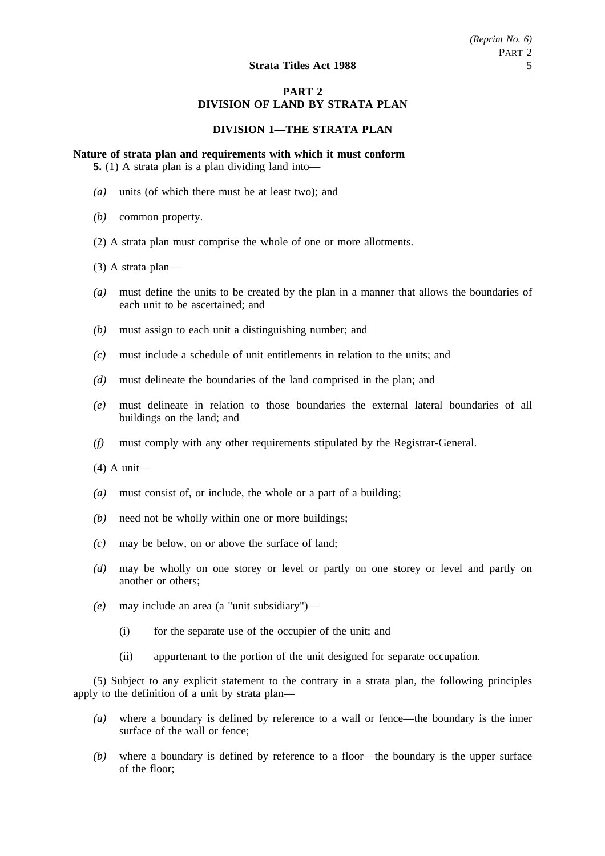# **PART 2 DIVISION OF LAND BY STRATA PLAN**

## **DIVISION 1—THE STRATA PLAN**

**Nature of strata plan and requirements with which it must conform**

**5.** (1) A strata plan is a plan dividing land into—

- *(a)* units (of which there must be at least two); and
- *(b)* common property.
- (2) A strata plan must comprise the whole of one or more allotments.
- (3) A strata plan—
- *(a)* must define the units to be created by the plan in a manner that allows the boundaries of each unit to be ascertained; and
- *(b)* must assign to each unit a distinguishing number; and
- *(c)* must include a schedule of unit entitlements in relation to the units; and
- *(d)* must delineate the boundaries of the land comprised in the plan; and
- *(e)* must delineate in relation to those boundaries the external lateral boundaries of all buildings on the land; and
- *(f)* must comply with any other requirements stipulated by the Registrar-General.
- (4) A unit—
- *(a)* must consist of, or include, the whole or a part of a building;
- *(b)* need not be wholly within one or more buildings;
- *(c)* may be below, on or above the surface of land;
- *(d)* may be wholly on one storey or level or partly on one storey or level and partly on another or others;
- *(e)* may include an area (a "unit subsidiary")—
	- (i) for the separate use of the occupier of the unit; and
	- (ii) appurtenant to the portion of the unit designed for separate occupation.

(5) Subject to any explicit statement to the contrary in a strata plan, the following principles apply to the definition of a unit by strata plan—

- *(a)* where a boundary is defined by reference to a wall or fence—the boundary is the inner surface of the wall or fence;
- *(b)* where a boundary is defined by reference to a floor—the boundary is the upper surface of the floor;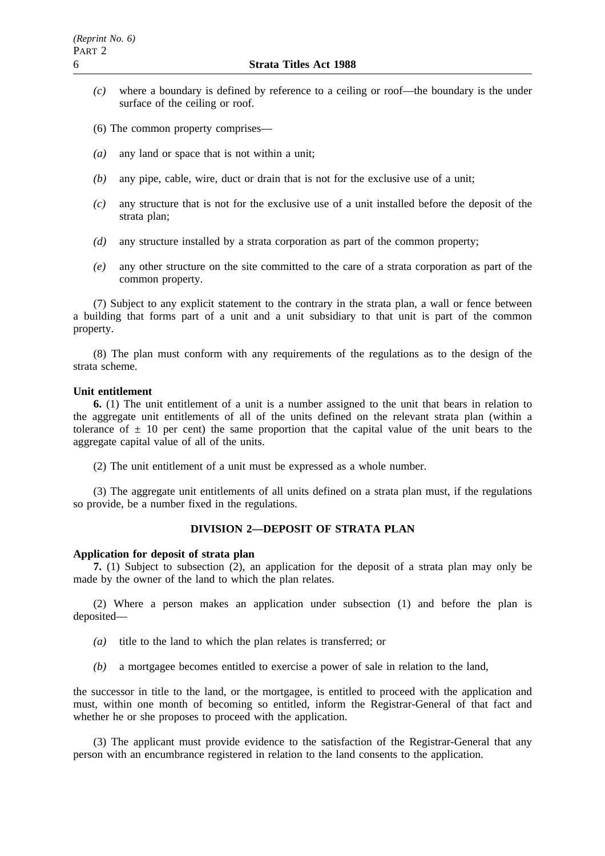- *(c)* where a boundary is defined by reference to a ceiling or roof—the boundary is the under surface of the ceiling or roof.
- (6) The common property comprises—
- *(a)* any land or space that is not within a unit;
- *(b)* any pipe, cable, wire, duct or drain that is not for the exclusive use of a unit;
- *(c)* any structure that is not for the exclusive use of a unit installed before the deposit of the strata plan;
- *(d)* any structure installed by a strata corporation as part of the common property;
- *(e)* any other structure on the site committed to the care of a strata corporation as part of the common property.

(7) Subject to any explicit statement to the contrary in the strata plan, a wall or fence between a building that forms part of a unit and a unit subsidiary to that unit is part of the common property.

(8) The plan must conform with any requirements of the regulations as to the design of the strata scheme.

#### **Unit entitlement**

**6.** (1) The unit entitlement of a unit is a number assigned to the unit that bears in relation to the aggregate unit entitlements of all of the units defined on the relevant strata plan (within a tolerance of  $\pm$  10 per cent) the same proportion that the capital value of the unit bears to the aggregate capital value of all of the units.

(2) The unit entitlement of a unit must be expressed as a whole number.

(3) The aggregate unit entitlements of all units defined on a strata plan must, if the regulations so provide, be a number fixed in the regulations.

# **DIVISION 2—DEPOSIT OF STRATA PLAN**

# **Application for deposit of strata plan**

**7.** (1) Subject to subsection (2), an application for the deposit of a strata plan may only be made by the owner of the land to which the plan relates.

(2) Where a person makes an application under subsection (1) and before the plan is deposited—

- *(a)* title to the land to which the plan relates is transferred; or
- *(b)* a mortgagee becomes entitled to exercise a power of sale in relation to the land,

the successor in title to the land, or the mortgagee, is entitled to proceed with the application and must, within one month of becoming so entitled, inform the Registrar-General of that fact and whether he or she proposes to proceed with the application.

(3) The applicant must provide evidence to the satisfaction of the Registrar-General that any person with an encumbrance registered in relation to the land consents to the application.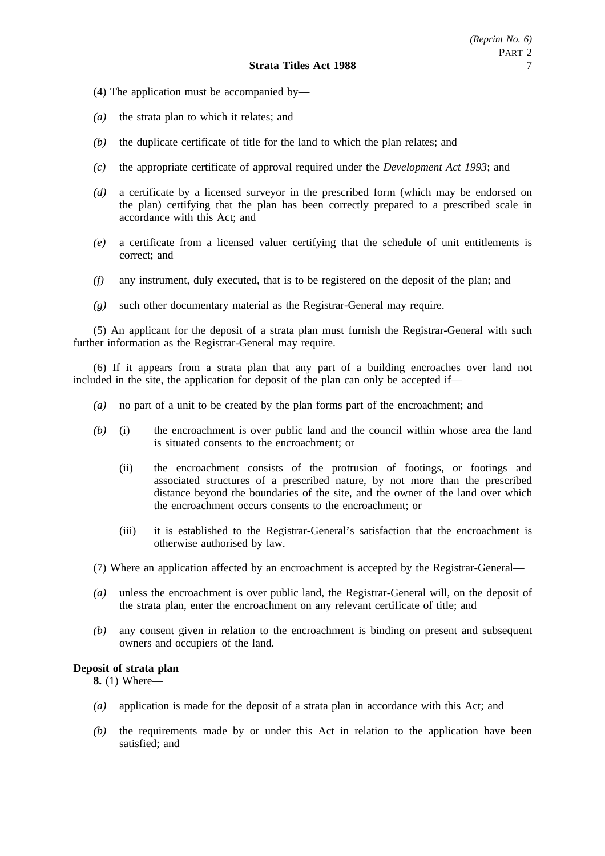- (4) The application must be accompanied by—
- *(a)* the strata plan to which it relates; and
- *(b)* the duplicate certificate of title for the land to which the plan relates; and
- *(c)* the appropriate certificate of approval required under the *Development Act 1993*; and
- *(d)* a certificate by a licensed surveyor in the prescribed form (which may be endorsed on the plan) certifying that the plan has been correctly prepared to a prescribed scale in accordance with this Act; and
- *(e)* a certificate from a licensed valuer certifying that the schedule of unit entitlements is correct; and
- *(f)* any instrument, duly executed, that is to be registered on the deposit of the plan; and
- *(g)* such other documentary material as the Registrar-General may require.

(5) An applicant for the deposit of a strata plan must furnish the Registrar-General with such further information as the Registrar-General may require.

(6) If it appears from a strata plan that any part of a building encroaches over land not included in the site, the application for deposit of the plan can only be accepted if—

- *(a)* no part of a unit to be created by the plan forms part of the encroachment; and
- *(b)* (i) the encroachment is over public land and the council within whose area the land is situated consents to the encroachment; or
	- (ii) the encroachment consists of the protrusion of footings, or footings and associated structures of a prescribed nature, by not more than the prescribed distance beyond the boundaries of the site, and the owner of the land over which the encroachment occurs consents to the encroachment; or
	- (iii) it is established to the Registrar-General's satisfaction that the encroachment is otherwise authorised by law.
- (7) Where an application affected by an encroachment is accepted by the Registrar-General—
- *(a)* unless the encroachment is over public land, the Registrar-General will, on the deposit of the strata plan, enter the encroachment on any relevant certificate of title; and
- *(b)* any consent given in relation to the encroachment is binding on present and subsequent owners and occupiers of the land.

# **Deposit of strata plan**

**8.** (1) Where—

- *(a)* application is made for the deposit of a strata plan in accordance with this Act; and
- *(b)* the requirements made by or under this Act in relation to the application have been satisfied; and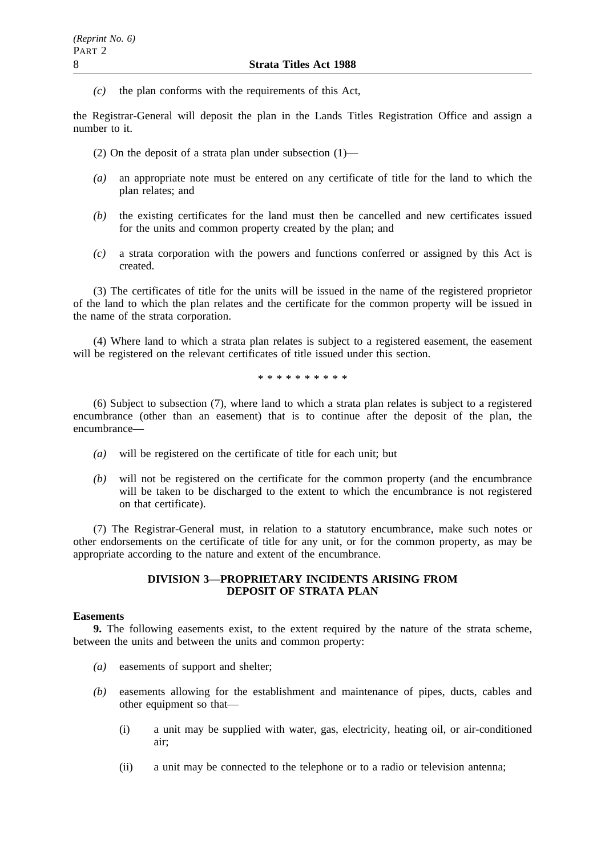*(c)* the plan conforms with the requirements of this Act,

the Registrar-General will deposit the plan in the Lands Titles Registration Office and assign a number to it.

- (2) On the deposit of a strata plan under subsection  $(1)$ —
- *(a)* an appropriate note must be entered on any certificate of title for the land to which the plan relates; and
- *(b)* the existing certificates for the land must then be cancelled and new certificates issued for the units and common property created by the plan; and
- *(c)* a strata corporation with the powers and functions conferred or assigned by this Act is created.

(3) The certificates of title for the units will be issued in the name of the registered proprietor of the land to which the plan relates and the certificate for the common property will be issued in the name of the strata corporation.

(4) Where land to which a strata plan relates is subject to a registered easement, the easement will be registered on the relevant certificates of title issued under this section.

\*\*\*\*\*\*\*\*\*\*

(6) Subject to subsection (7), where land to which a strata plan relates is subject to a registered encumbrance (other than an easement) that is to continue after the deposit of the plan, the encumbrance—

- *(a)* will be registered on the certificate of title for each unit; but
- *(b)* will not be registered on the certificate for the common property (and the encumbrance will be taken to be discharged to the extent to which the encumbrance is not registered on that certificate).

(7) The Registrar-General must, in relation to a statutory encumbrance, make such notes or other endorsements on the certificate of title for any unit, or for the common property, as may be appropriate according to the nature and extent of the encumbrance.

# **DIVISION 3—PROPRIETARY INCIDENTS ARISING FROM DEPOSIT OF STRATA PLAN**

# **Easements**

**9.** The following easements exist, to the extent required by the nature of the strata scheme, between the units and between the units and common property:

- *(a)* easements of support and shelter;
- *(b)* easements allowing for the establishment and maintenance of pipes, ducts, cables and other equipment so that—
	- (i) a unit may be supplied with water, gas, electricity, heating oil, or air-conditioned air;
	- (ii) a unit may be connected to the telephone or to a radio or television antenna;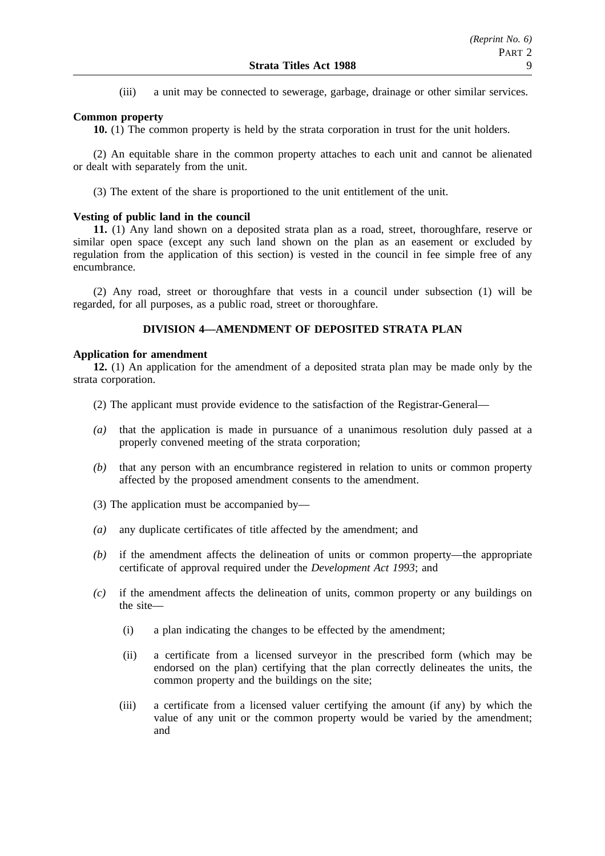(iii) a unit may be connected to sewerage, garbage, drainage or other similar services.

# **Common property**

**10.** (1) The common property is held by the strata corporation in trust for the unit holders.

(2) An equitable share in the common property attaches to each unit and cannot be alienated or dealt with separately from the unit.

(3) The extent of the share is proportioned to the unit entitlement of the unit.

## **Vesting of public land in the council**

**11.** (1) Any land shown on a deposited strata plan as a road, street, thoroughfare, reserve or similar open space (except any such land shown on the plan as an easement or excluded by regulation from the application of this section) is vested in the council in fee simple free of any encumbrance.

(2) Any road, street or thoroughfare that vests in a council under subsection (1) will be regarded, for all purposes, as a public road, street or thoroughfare.

# **DIVISION 4—AMENDMENT OF DEPOSITED STRATA PLAN**

## **Application for amendment**

**12.** (1) An application for the amendment of a deposited strata plan may be made only by the strata corporation.

- (2) The applicant must provide evidence to the satisfaction of the Registrar-General—
- *(a)* that the application is made in pursuance of a unanimous resolution duly passed at a properly convened meeting of the strata corporation;
- *(b)* that any person with an encumbrance registered in relation to units or common property affected by the proposed amendment consents to the amendment.
- (3) The application must be accompanied by—
- *(a)* any duplicate certificates of title affected by the amendment; and
- *(b)* if the amendment affects the delineation of units or common property—the appropriate certificate of approval required under the *Development Act 1993*; and
- *(c)* if the amendment affects the delineation of units, common property or any buildings on the site—
	- (i) a plan indicating the changes to be effected by the amendment;
	- (ii) a certificate from a licensed surveyor in the prescribed form (which may be endorsed on the plan) certifying that the plan correctly delineates the units, the common property and the buildings on the site;
	- (iii) a certificate from a licensed valuer certifying the amount (if any) by which the value of any unit or the common property would be varied by the amendment; and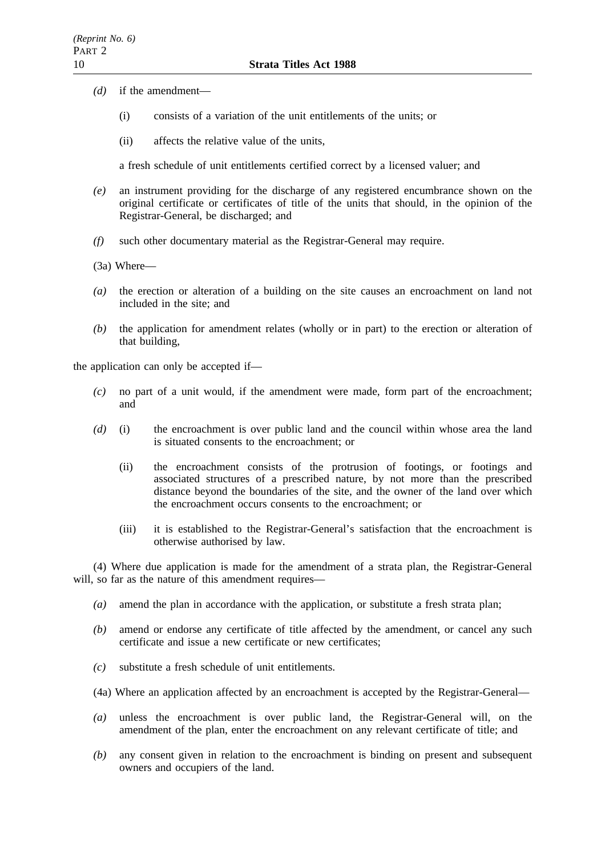- *(d)* if the amendment—
	- (i) consists of a variation of the unit entitlements of the units; or
	- (ii) affects the relative value of the units,

a fresh schedule of unit entitlements certified correct by a licensed valuer; and

- *(e)* an instrument providing for the discharge of any registered encumbrance shown on the original certificate or certificates of title of the units that should, in the opinion of the Registrar-General, be discharged; and
- *(f)* such other documentary material as the Registrar-General may require.
- (3a) Where—
- *(a)* the erection or alteration of a building on the site causes an encroachment on land not included in the site; and
- *(b)* the application for amendment relates (wholly or in part) to the erection or alteration of that building,

the application can only be accepted if—

- *(c)* no part of a unit would, if the amendment were made, form part of the encroachment; and
- *(d)* (i) the encroachment is over public land and the council within whose area the land is situated consents to the encroachment; or
	- (ii) the encroachment consists of the protrusion of footings, or footings and associated structures of a prescribed nature, by not more than the prescribed distance beyond the boundaries of the site, and the owner of the land over which the encroachment occurs consents to the encroachment; or
	- (iii) it is established to the Registrar-General's satisfaction that the encroachment is otherwise authorised by law.

(4) Where due application is made for the amendment of a strata plan, the Registrar-General will, so far as the nature of this amendment requires—

- *(a)* amend the plan in accordance with the application, or substitute a fresh strata plan;
- *(b)* amend or endorse any certificate of title affected by the amendment, or cancel any such certificate and issue a new certificate or new certificates;
- *(c)* substitute a fresh schedule of unit entitlements.
- (4a) Where an application affected by an encroachment is accepted by the Registrar-General—
- *(a)* unless the encroachment is over public land, the Registrar-General will, on the amendment of the plan, enter the encroachment on any relevant certificate of title; and
- *(b)* any consent given in relation to the encroachment is binding on present and subsequent owners and occupiers of the land.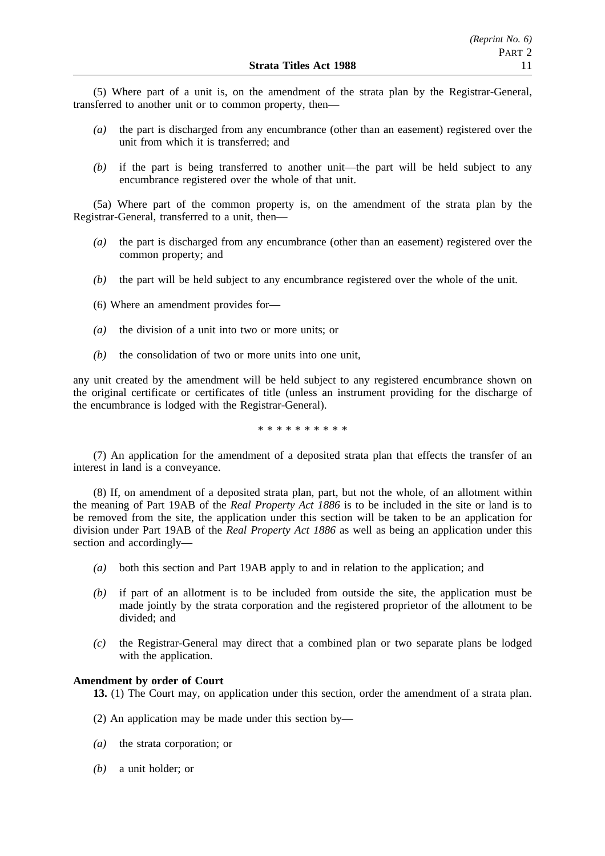(5) Where part of a unit is, on the amendment of the strata plan by the Registrar-General, transferred to another unit or to common property, then—

- *(a)* the part is discharged from any encumbrance (other than an easement) registered over the unit from which it is transferred; and
- *(b)* if the part is being transferred to another unit—the part will be held subject to any encumbrance registered over the whole of that unit.

(5a) Where part of the common property is, on the amendment of the strata plan by the Registrar-General, transferred to a unit, then—

- *(a)* the part is discharged from any encumbrance (other than an easement) registered over the common property; and
- *(b)* the part will be held subject to any encumbrance registered over the whole of the unit.
- (6) Where an amendment provides for—
- *(a)* the division of a unit into two or more units; or
- *(b)* the consolidation of two or more units into one unit,

any unit created by the amendment will be held subject to any registered encumbrance shown on the original certificate or certificates of title (unless an instrument providing for the discharge of the encumbrance is lodged with the Registrar-General).

\*\*\*\*\*\*\*\*\*\*

(7) An application for the amendment of a deposited strata plan that effects the transfer of an interest in land is a conveyance.

(8) If, on amendment of a deposited strata plan, part, but not the whole, of an allotment within the meaning of Part 19AB of the *Real Property Act 1886* is to be included in the site or land is to be removed from the site, the application under this section will be taken to be an application for division under Part 19AB of the *Real Property Act 1886* as well as being an application under this section and accordingly—

- *(a)* both this section and Part 19AB apply to and in relation to the application; and
- *(b)* if part of an allotment is to be included from outside the site, the application must be made jointly by the strata corporation and the registered proprietor of the allotment to be divided; and
- *(c)* the Registrar-General may direct that a combined plan or two separate plans be lodged with the application.

## **Amendment by order of Court**

**13.** (1) The Court may, on application under this section, order the amendment of a strata plan.

- (2) An application may be made under this section by—
- *(a)* the strata corporation; or
- *(b)* a unit holder; or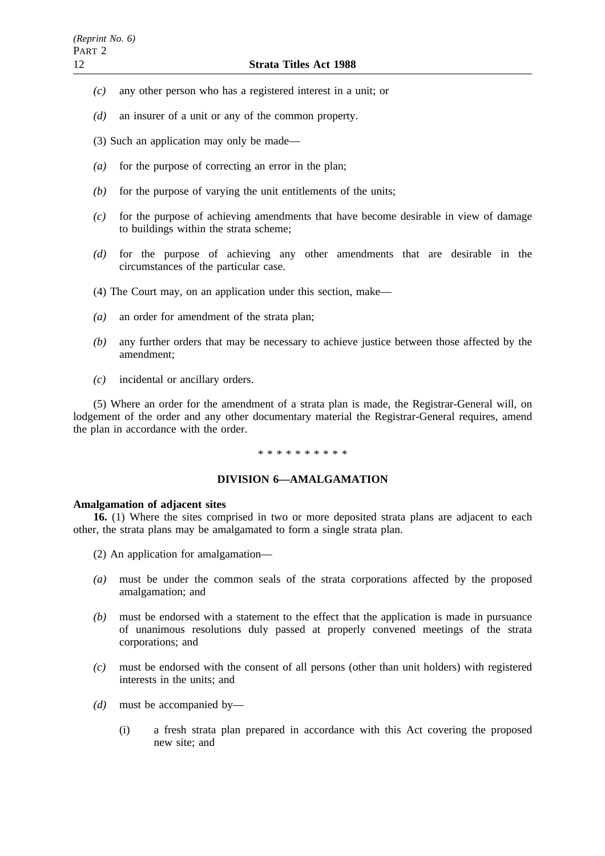- *(c)* any other person who has a registered interest in a unit; or
- *(d)* an insurer of a unit or any of the common property.
- (3) Such an application may only be made—
- *(a)* for the purpose of correcting an error in the plan;
- *(b)* for the purpose of varying the unit entitlements of the units;
- *(c)* for the purpose of achieving amendments that have become desirable in view of damage to buildings within the strata scheme;
- *(d)* for the purpose of achieving any other amendments that are desirable in the circumstances of the particular case.
- (4) The Court may, on an application under this section, make—
- *(a)* an order for amendment of the strata plan;
- *(b)* any further orders that may be necessary to achieve justice between those affected by the amendment;
- *(c)* incidental or ancillary orders.

(5) Where an order for the amendment of a strata plan is made, the Registrar-General will, on lodgement of the order and any other documentary material the Registrar-General requires, amend the plan in accordance with the order.

# \*\*\*\*\*\*\*\*\*\*

## **DIVISION 6—AMALGAMATION**

## **Amalgamation of adjacent sites**

**16.** (1) Where the sites comprised in two or more deposited strata plans are adjacent to each other, the strata plans may be amalgamated to form a single strata plan.

- (2) An application for amalgamation—
- *(a)* must be under the common seals of the strata corporations affected by the proposed amalgamation; and
- *(b)* must be endorsed with a statement to the effect that the application is made in pursuance of unanimous resolutions duly passed at properly convened meetings of the strata corporations; and
- *(c)* must be endorsed with the consent of all persons (other than unit holders) with registered interests in the units; and
- *(d)* must be accompanied by—
	- (i) a fresh strata plan prepared in accordance with this Act covering the proposed new site; and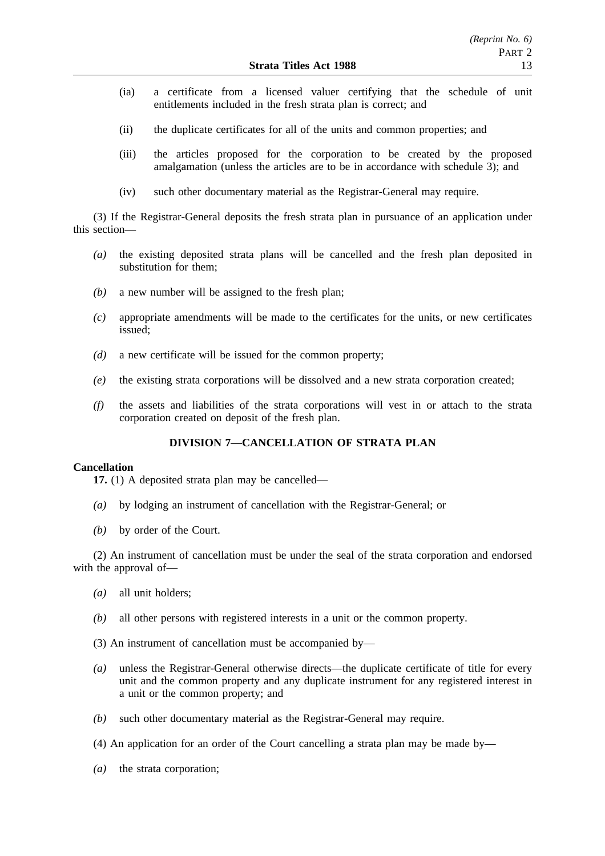- (ia) a certificate from a licensed valuer certifying that the schedule of unit entitlements included in the fresh strata plan is correct; and
- (ii) the duplicate certificates for all of the units and common properties; and
- (iii) the articles proposed for the corporation to be created by the proposed amalgamation (unless the articles are to be in accordance with schedule 3); and
- (iv) such other documentary material as the Registrar-General may require.

(3) If the Registrar-General deposits the fresh strata plan in pursuance of an application under this section—

- *(a)* the existing deposited strata plans will be cancelled and the fresh plan deposited in substitution for them;
- *(b)* a new number will be assigned to the fresh plan;
- *(c)* appropriate amendments will be made to the certificates for the units, or new certificates issued;
- *(d)* a new certificate will be issued for the common property;
- *(e)* the existing strata corporations will be dissolved and a new strata corporation created;
- *(f)* the assets and liabilities of the strata corporations will vest in or attach to the strata corporation created on deposit of the fresh plan.

# **DIVISION 7—CANCELLATION OF STRATA PLAN**

## **Cancellation**

**17.** (1) A deposited strata plan may be cancelled—

- *(a)* by lodging an instrument of cancellation with the Registrar-General; or
- *(b)* by order of the Court.

(2) An instrument of cancellation must be under the seal of the strata corporation and endorsed with the approval of—

- *(a)* all unit holders;
- *(b)* all other persons with registered interests in a unit or the common property.
- (3) An instrument of cancellation must be accompanied by—
- *(a)* unless the Registrar-General otherwise directs—the duplicate certificate of title for every unit and the common property and any duplicate instrument for any registered interest in a unit or the common property; and
- *(b)* such other documentary material as the Registrar-General may require.
- (4) An application for an order of the Court cancelling a strata plan may be made by—
- *(a)* the strata corporation;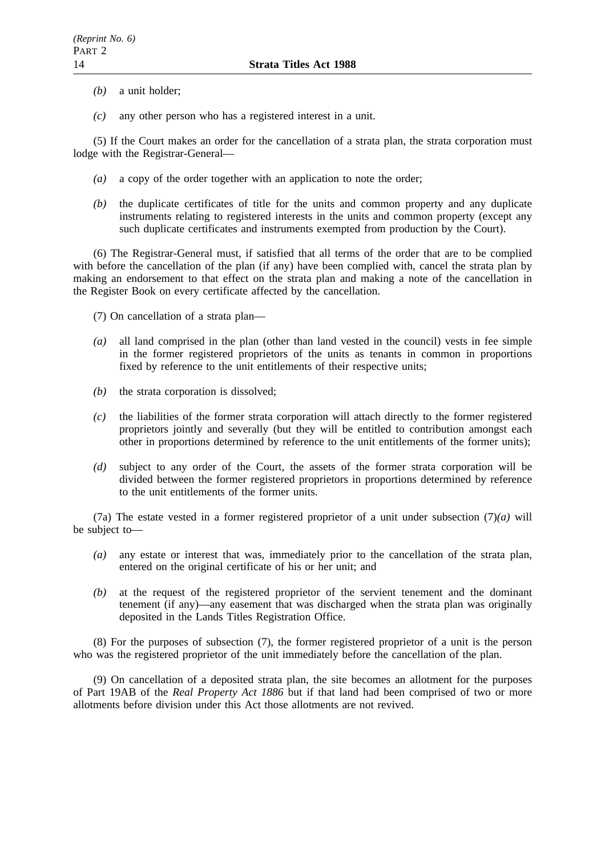- *(b)* a unit holder;
- *(c)* any other person who has a registered interest in a unit.

(5) If the Court makes an order for the cancellation of a strata plan, the strata corporation must lodge with the Registrar-General—

- *(a)* a copy of the order together with an application to note the order;
- *(b)* the duplicate certificates of title for the units and common property and any duplicate instruments relating to registered interests in the units and common property (except any such duplicate certificates and instruments exempted from production by the Court).

(6) The Registrar-General must, if satisfied that all terms of the order that are to be complied with before the cancellation of the plan (if any) have been complied with, cancel the strata plan by making an endorsement to that effect on the strata plan and making a note of the cancellation in the Register Book on every certificate affected by the cancellation.

- (7) On cancellation of a strata plan—
- *(a)* all land comprised in the plan (other than land vested in the council) vests in fee simple in the former registered proprietors of the units as tenants in common in proportions fixed by reference to the unit entitlements of their respective units;
- *(b)* the strata corporation is dissolved;
- *(c)* the liabilities of the former strata corporation will attach directly to the former registered proprietors jointly and severally (but they will be entitled to contribution amongst each other in proportions determined by reference to the unit entitlements of the former units);
- *(d)* subject to any order of the Court, the assets of the former strata corporation will be divided between the former registered proprietors in proportions determined by reference to the unit entitlements of the former units.

(7a) The estate vested in a former registered proprietor of a unit under subsection (7)*(a)* will be subject to—

- *(a)* any estate or interest that was, immediately prior to the cancellation of the strata plan, entered on the original certificate of his or her unit; and
- *(b)* at the request of the registered proprietor of the servient tenement and the dominant tenement (if any)—any easement that was discharged when the strata plan was originally deposited in the Lands Titles Registration Office.

(8) For the purposes of subsection (7), the former registered proprietor of a unit is the person who was the registered proprietor of the unit immediately before the cancellation of the plan.

(9) On cancellation of a deposited strata plan, the site becomes an allotment for the purposes of Part 19AB of the *Real Property Act 1886* but if that land had been comprised of two or more allotments before division under this Act those allotments are not revived.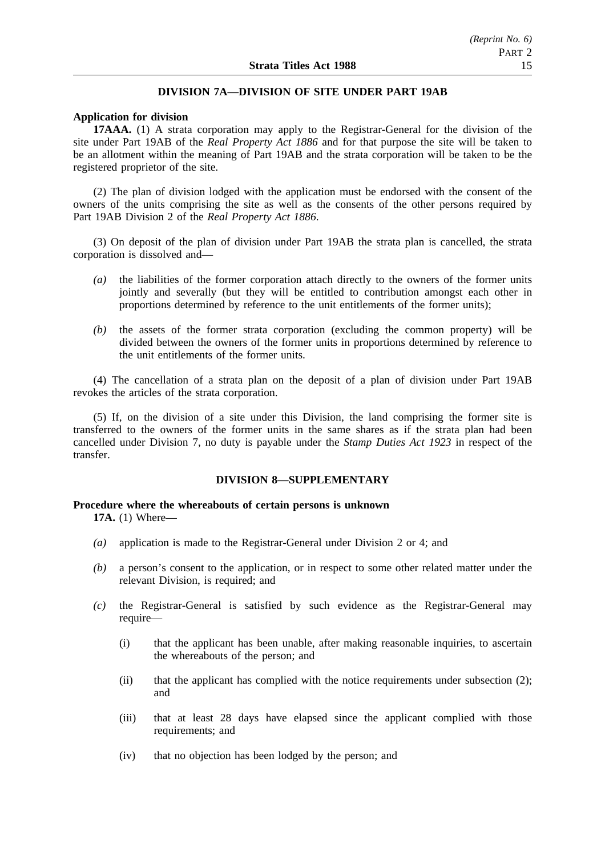# **DIVISION 7A—DIVISION OF SITE UNDER PART 19AB**

#### **Application for division**

**17AAA.** (1) A strata corporation may apply to the Registrar-General for the division of the site under Part 19AB of the *Real Property Act 1886* and for that purpose the site will be taken to be an allotment within the meaning of Part 19AB and the strata corporation will be taken to be the registered proprietor of the site.

(2) The plan of division lodged with the application must be endorsed with the consent of the owners of the units comprising the site as well as the consents of the other persons required by Part 19AB Division 2 of the *Real Property Act 1886*.

(3) On deposit of the plan of division under Part 19AB the strata plan is cancelled, the strata corporation is dissolved and—

- *(a)* the liabilities of the former corporation attach directly to the owners of the former units jointly and severally (but they will be entitled to contribution amongst each other in proportions determined by reference to the unit entitlements of the former units);
- *(b)* the assets of the former strata corporation (excluding the common property) will be divided between the owners of the former units in proportions determined by reference to the unit entitlements of the former units.

(4) The cancellation of a strata plan on the deposit of a plan of division under Part 19AB revokes the articles of the strata corporation.

(5) If, on the division of a site under this Division, the land comprising the former site is transferred to the owners of the former units in the same shares as if the strata plan had been cancelled under Division 7, no duty is payable under the *Stamp Duties Act 1923* in respect of the transfer.

# **DIVISION 8—SUPPLEMENTARY**

### **Procedure where the whereabouts of certain persons is unknown 17A.** (1) Where—

- *(a)* application is made to the Registrar-General under Division 2 or 4; and
- *(b)* a person's consent to the application, or in respect to some other related matter under the relevant Division, is required; and
- *(c)* the Registrar-General is satisfied by such evidence as the Registrar-General may require—
	- (i) that the applicant has been unable, after making reasonable inquiries, to ascertain the whereabouts of the person; and
	- (ii) that the applicant has complied with the notice requirements under subsection (2); and
	- (iii) that at least 28 days have elapsed since the applicant complied with those requirements; and
	- (iv) that no objection has been lodged by the person; and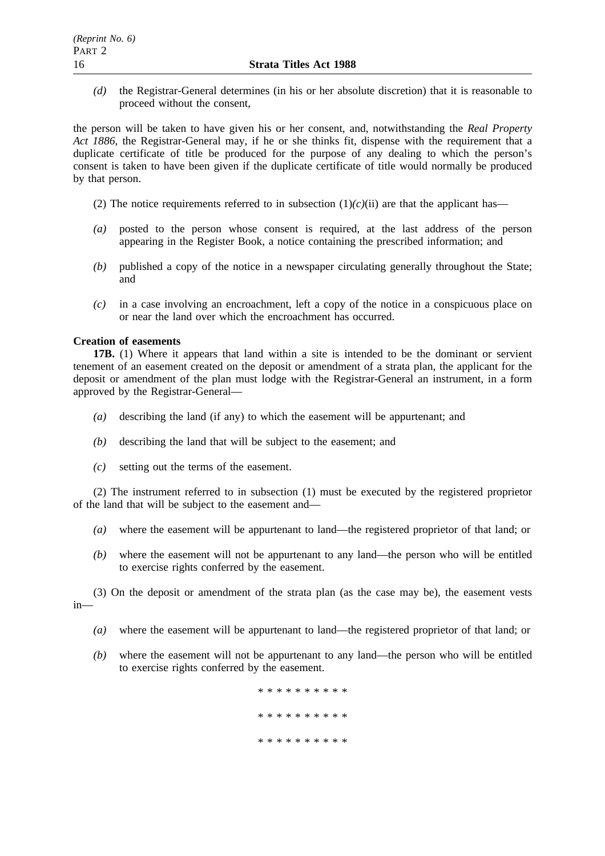*(d)* the Registrar-General determines (in his or her absolute discretion) that it is reasonable to proceed without the consent,

the person will be taken to have given his or her consent, and, notwithstanding the *Real Property Act 1886*, the Registrar-General may, if he or she thinks fit, dispense with the requirement that a duplicate certificate of title be produced for the purpose of any dealing to which the person's consent is taken to have been given if the duplicate certificate of title would normally be produced by that person.

- (2) The notice requirements referred to in subsection  $(1)(c)(ii)$  are that the applicant has—
- *(a)* posted to the person whose consent is required, at the last address of the person appearing in the Register Book, a notice containing the prescribed information; and
- *(b)* published a copy of the notice in a newspaper circulating generally throughout the State; and
- *(c)* in a case involving an encroachment, left a copy of the notice in a conspicuous place on or near the land over which the encroachment has occurred.

# **Creation of easements**

**17B.** (1) Where it appears that land within a site is intended to be the dominant or servient tenement of an easement created on the deposit or amendment of a strata plan, the applicant for the deposit or amendment of the plan must lodge with the Registrar-General an instrument, in a form approved by the Registrar-General—

- *(a)* describing the land (if any) to which the easement will be appurtenant; and
- *(b)* describing the land that will be subject to the easement; and
- *(c)* setting out the terms of the easement.

(2) The instrument referred to in subsection (1) must be executed by the registered proprietor of the land that will be subject to the easement and—

- *(a)* where the easement will be appurtenant to land—the registered proprietor of that land; or
- *(b)* where the easement will not be appurtenant to any land—the person who will be entitled to exercise rights conferred by the easement.

(3) On the deposit or amendment of the strata plan (as the case may be), the easement vests in—

- *(a)* where the easement will be appurtenant to land—the registered proprietor of that land; or
- *(b)* where the easement will not be appurtenant to any land—the person who will be entitled to exercise rights conferred by the easement.

\*\*\*\*\*\*\*\*\*\* \*\*\*\*\*\*\*\*\*\* \*\*\*\*\*\*\*\*\*\*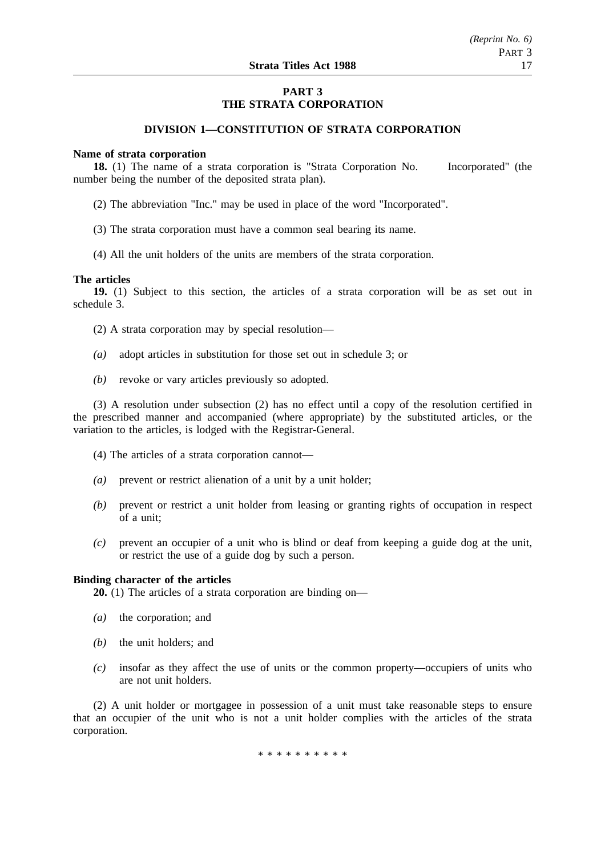# **PART 3 THE STRATA CORPORATION**

# **DIVISION 1—CONSTITUTION OF STRATA CORPORATION**

#### **Name of strata corporation**

**18.** (1) The name of a strata corporation is "Strata Corporation No. Incorporated" (the number being the number of the deposited strata plan).

- (2) The abbreviation "Inc." may be used in place of the word "Incorporated".
- (3) The strata corporation must have a common seal bearing its name.
- (4) All the unit holders of the units are members of the strata corporation.

#### **The articles**

**19.** (1) Subject to this section, the articles of a strata corporation will be as set out in schedule 3.

(2) A strata corporation may by special resolution—

- *(a)* adopt articles in substitution for those set out in schedule 3; or
- *(b)* revoke or vary articles previously so adopted.

(3) A resolution under subsection (2) has no effect until a copy of the resolution certified in the prescribed manner and accompanied (where appropriate) by the substituted articles, or the variation to the articles, is lodged with the Registrar-General.

- (4) The articles of a strata corporation cannot—
- *(a)* prevent or restrict alienation of a unit by a unit holder;
- *(b)* prevent or restrict a unit holder from leasing or granting rights of occupation in respect of a unit;
- *(c)* prevent an occupier of a unit who is blind or deaf from keeping a guide dog at the unit, or restrict the use of a guide dog by such a person.

#### **Binding character of the articles**

**20.** (1) The articles of a strata corporation are binding on—

- *(a)* the corporation; and
- *(b)* the unit holders; and
- *(c)* insofar as they affect the use of units or the common property—occupiers of units who are not unit holders.

(2) A unit holder or mortgagee in possession of a unit must take reasonable steps to ensure that an occupier of the unit who is not a unit holder complies with the articles of the strata corporation.

\*\*\*\*\*\*\*\*\*\*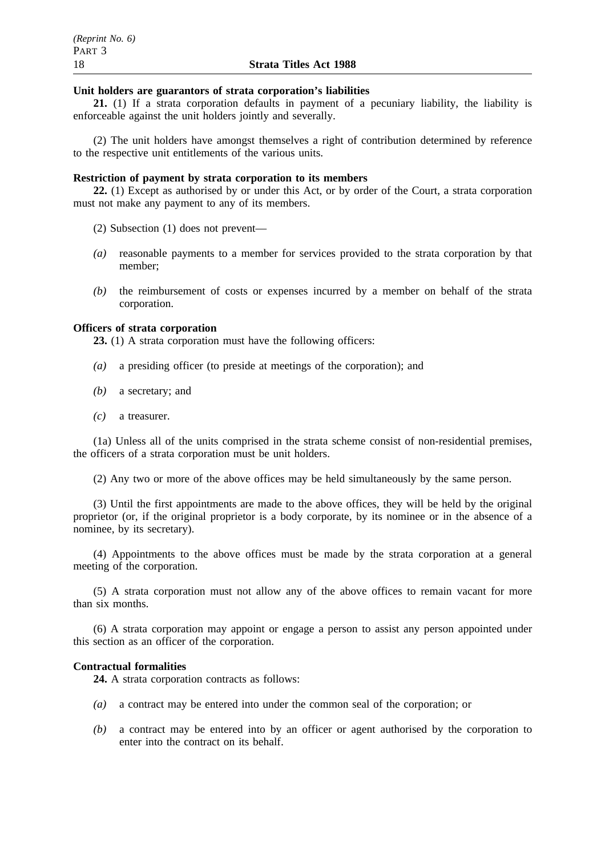# **Unit holders are guarantors of strata corporation's liabilities**

**21.** (1) If a strata corporation defaults in payment of a pecuniary liability, the liability is enforceable against the unit holders jointly and severally.

(2) The unit holders have amongst themselves a right of contribution determined by reference to the respective unit entitlements of the various units.

# **Restriction of payment by strata corporation to its members**

**22.** (1) Except as authorised by or under this Act, or by order of the Court, a strata corporation must not make any payment to any of its members.

(2) Subsection (1) does not prevent—

- *(a)* reasonable payments to a member for services provided to the strata corporation by that member;
- *(b)* the reimbursement of costs or expenses incurred by a member on behalf of the strata corporation.

# **Officers of strata corporation**

**23.** (1) A strata corporation must have the following officers:

- *(a)* a presiding officer (to preside at meetings of the corporation); and
- *(b)* a secretary; and
- *(c)* a treasurer.

(1a) Unless all of the units comprised in the strata scheme consist of non-residential premises, the officers of a strata corporation must be unit holders.

(2) Any two or more of the above offices may be held simultaneously by the same person.

(3) Until the first appointments are made to the above offices, they will be held by the original proprietor (or, if the original proprietor is a body corporate, by its nominee or in the absence of a nominee, by its secretary).

(4) Appointments to the above offices must be made by the strata corporation at a general meeting of the corporation.

(5) A strata corporation must not allow any of the above offices to remain vacant for more than six months.

(6) A strata corporation may appoint or engage a person to assist any person appointed under this section as an officer of the corporation.

# **Contractual formalities**

**24.** A strata corporation contracts as follows:

- *(a)* a contract may be entered into under the common seal of the corporation; or
- *(b)* a contract may be entered into by an officer or agent authorised by the corporation to enter into the contract on its behalf.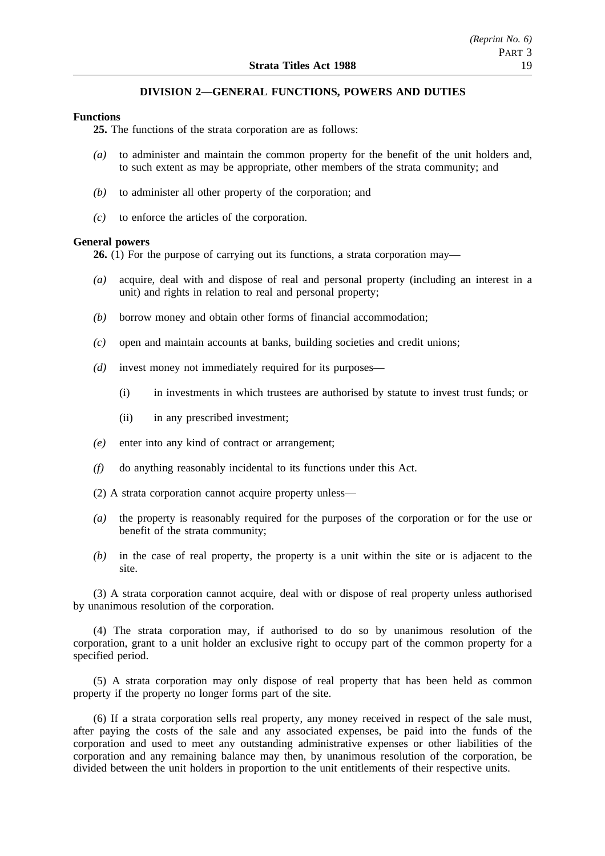# **DIVISION 2—GENERAL FUNCTIONS, POWERS AND DUTIES**

### **Functions**

**25.** The functions of the strata corporation are as follows:

- *(a)* to administer and maintain the common property for the benefit of the unit holders and, to such extent as may be appropriate, other members of the strata community; and
- *(b)* to administer all other property of the corporation; and
- *(c)* to enforce the articles of the corporation.

#### **General powers**

**26.** (1) For the purpose of carrying out its functions, a strata corporation may—

- *(a)* acquire, deal with and dispose of real and personal property (including an interest in a unit) and rights in relation to real and personal property;
- *(b)* borrow money and obtain other forms of financial accommodation;
- *(c)* open and maintain accounts at banks, building societies and credit unions;
- *(d)* invest money not immediately required for its purposes—
	- (i) in investments in which trustees are authorised by statute to invest trust funds; or
	- (ii) in any prescribed investment;
- *(e)* enter into any kind of contract or arrangement;
- *(f)* do anything reasonably incidental to its functions under this Act.
- (2) A strata corporation cannot acquire property unless—
- *(a)* the property is reasonably required for the purposes of the corporation or for the use or benefit of the strata community;
- *(b)* in the case of real property, the property is a unit within the site or is adjacent to the site.

(3) A strata corporation cannot acquire, deal with or dispose of real property unless authorised by unanimous resolution of the corporation.

(4) The strata corporation may, if authorised to do so by unanimous resolution of the corporation, grant to a unit holder an exclusive right to occupy part of the common property for a specified period.

(5) A strata corporation may only dispose of real property that has been held as common property if the property no longer forms part of the site.

(6) If a strata corporation sells real property, any money received in respect of the sale must, after paying the costs of the sale and any associated expenses, be paid into the funds of the corporation and used to meet any outstanding administrative expenses or other liabilities of the corporation and any remaining balance may then, by unanimous resolution of the corporation, be divided between the unit holders in proportion to the unit entitlements of their respective units.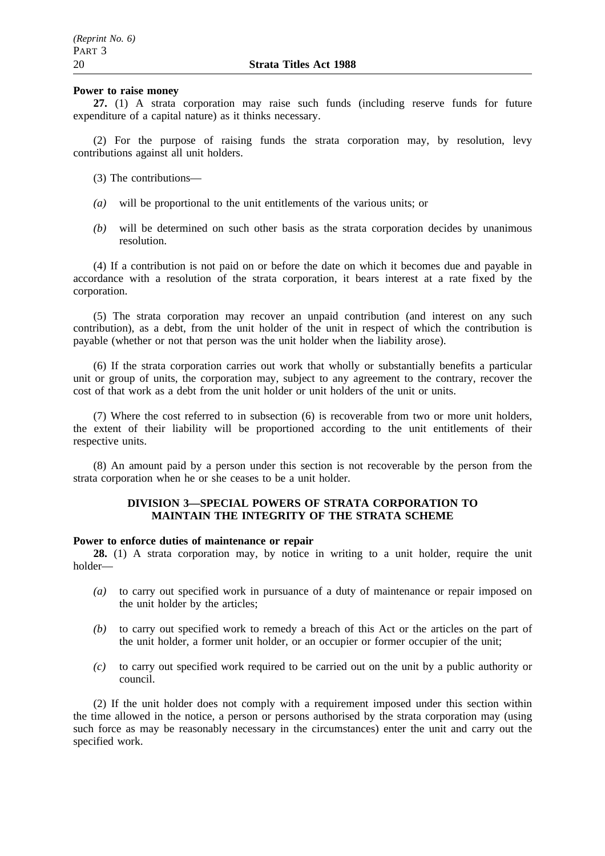#### **Power to raise money**

**27.** (1) A strata corporation may raise such funds (including reserve funds for future expenditure of a capital nature) as it thinks necessary.

(2) For the purpose of raising funds the strata corporation may, by resolution, levy contributions against all unit holders.

- (3) The contributions—
- *(a)* will be proportional to the unit entitlements of the various units; or
- *(b)* will be determined on such other basis as the strata corporation decides by unanimous resolution.

(4) If a contribution is not paid on or before the date on which it becomes due and payable in accordance with a resolution of the strata corporation, it bears interest at a rate fixed by the corporation.

(5) The strata corporation may recover an unpaid contribution (and interest on any such contribution), as a debt, from the unit holder of the unit in respect of which the contribution is payable (whether or not that person was the unit holder when the liability arose).

(6) If the strata corporation carries out work that wholly or substantially benefits a particular unit or group of units, the corporation may, subject to any agreement to the contrary, recover the cost of that work as a debt from the unit holder or unit holders of the unit or units.

(7) Where the cost referred to in subsection (6) is recoverable from two or more unit holders, the extent of their liability will be proportioned according to the unit entitlements of their respective units.

(8) An amount paid by a person under this section is not recoverable by the person from the strata corporation when he or she ceases to be a unit holder.

# **DIVISION 3—SPECIAL POWERS OF STRATA CORPORATION TO MAINTAIN THE INTEGRITY OF THE STRATA SCHEME**

# **Power to enforce duties of maintenance or repair**

**28.** (1) A strata corporation may, by notice in writing to a unit holder, require the unit holder—

- *(a)* to carry out specified work in pursuance of a duty of maintenance or repair imposed on the unit holder by the articles;
- *(b)* to carry out specified work to remedy a breach of this Act or the articles on the part of the unit holder, a former unit holder, or an occupier or former occupier of the unit;
- *(c)* to carry out specified work required to be carried out on the unit by a public authority or council.

(2) If the unit holder does not comply with a requirement imposed under this section within the time allowed in the notice, a person or persons authorised by the strata corporation may (using such force as may be reasonably necessary in the circumstances) enter the unit and carry out the specified work.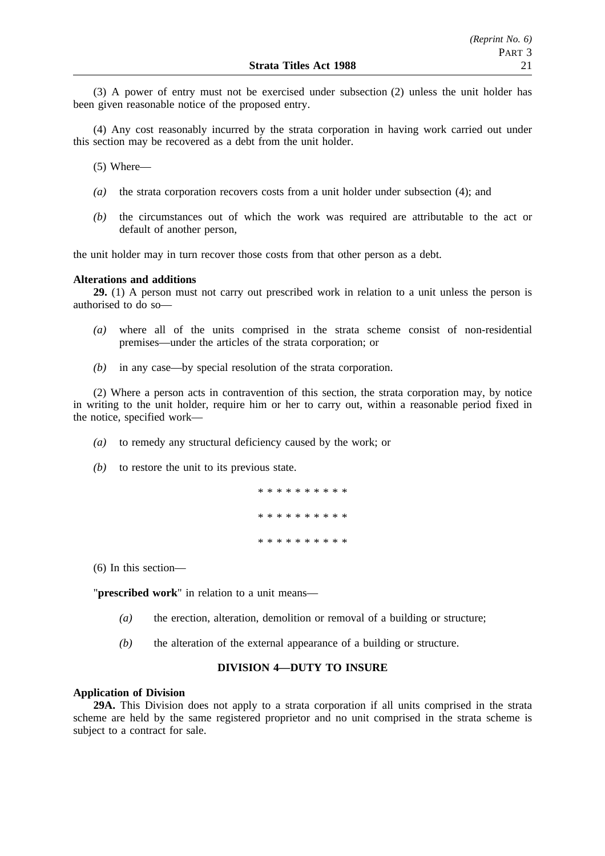(3) A power of entry must not be exercised under subsection (2) unless the unit holder has been given reasonable notice of the proposed entry.

(4) Any cost reasonably incurred by the strata corporation in having work carried out under this section may be recovered as a debt from the unit holder.

(5) Where—

- *(a)* the strata corporation recovers costs from a unit holder under subsection (4); and
- *(b)* the circumstances out of which the work was required are attributable to the act or default of another person,

the unit holder may in turn recover those costs from that other person as a debt.

#### **Alterations and additions**

**29.** (1) A person must not carry out prescribed work in relation to a unit unless the person is authorised to do so—

- *(a)* where all of the units comprised in the strata scheme consist of non-residential premises—under the articles of the strata corporation; or
- *(b)* in any case—by special resolution of the strata corporation.

(2) Where a person acts in contravention of this section, the strata corporation may, by notice in writing to the unit holder, require him or her to carry out, within a reasonable period fixed in the notice, specified work—

- *(a)* to remedy any structural deficiency caused by the work; or
- *(b)* to restore the unit to its previous state.

\*\*\*\*\*\*\*\*\*\* \*\*\*\*\*\*\*\*\*\* \*\*\*\*\*\*\*\*\*\*

(6) In this section—

"**prescribed work**" in relation to a unit means—

- *(a)* the erection, alteration, demolition or removal of a building or structure;
- *(b)* the alteration of the external appearance of a building or structure.

#### **DIVISION 4—DUTY TO INSURE**

#### **Application of Division**

**29A.** This Division does not apply to a strata corporation if all units comprised in the strata scheme are held by the same registered proprietor and no unit comprised in the strata scheme is subject to a contract for sale.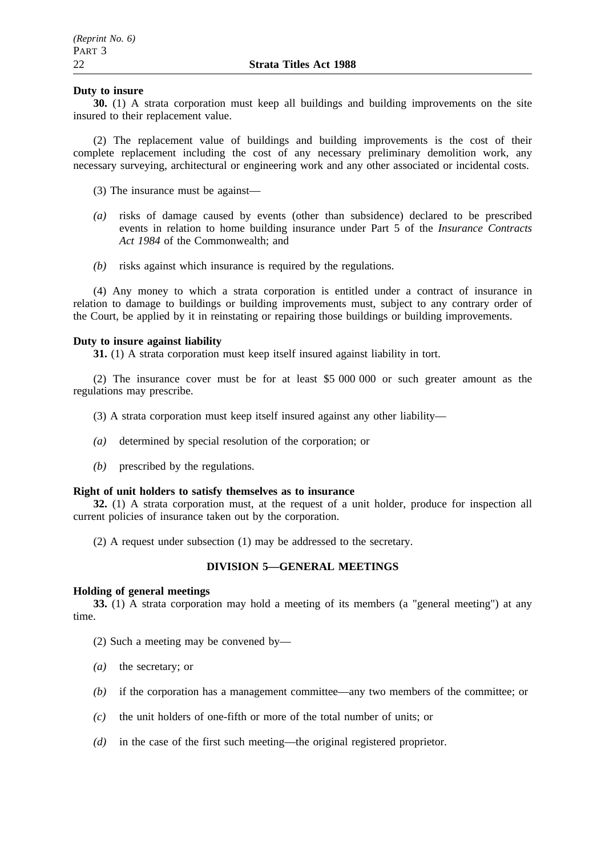## **Duty to insure**

**30.** (1) A strata corporation must keep all buildings and building improvements on the site insured to their replacement value.

(2) The replacement value of buildings and building improvements is the cost of their complete replacement including the cost of any necessary preliminary demolition work, any necessary surveying, architectural or engineering work and any other associated or incidental costs.

(3) The insurance must be against—

- *(a)* risks of damage caused by events (other than subsidence) declared to be prescribed events in relation to home building insurance under Part 5 of the *Insurance Contracts Act 1984* of the Commonwealth; and
- *(b)* risks against which insurance is required by the regulations.

(4) Any money to which a strata corporation is entitled under a contract of insurance in relation to damage to buildings or building improvements must, subject to any contrary order of the Court, be applied by it in reinstating or repairing those buildings or building improvements.

# **Duty to insure against liability**

**31.** (1) A strata corporation must keep itself insured against liability in tort.

(2) The insurance cover must be for at least \$5 000 000 or such greater amount as the regulations may prescribe.

(3) A strata corporation must keep itself insured against any other liability—

- *(a)* determined by special resolution of the corporation; or
- *(b)* prescribed by the regulations.

## **Right of unit holders to satisfy themselves as to insurance**

**32.** (1) A strata corporation must, at the request of a unit holder, produce for inspection all current policies of insurance taken out by the corporation.

(2) A request under subsection (1) may be addressed to the secretary.

# **DIVISION 5—GENERAL MEETINGS**

## **Holding of general meetings**

**33.** (1) A strata corporation may hold a meeting of its members (a "general meeting") at any time.

(2) Such a meeting may be convened by—

- *(a)* the secretary; or
- *(b)* if the corporation has a management committee—any two members of the committee; or
- *(c)* the unit holders of one-fifth or more of the total number of units; or
- *(d)* in the case of the first such meeting—the original registered proprietor.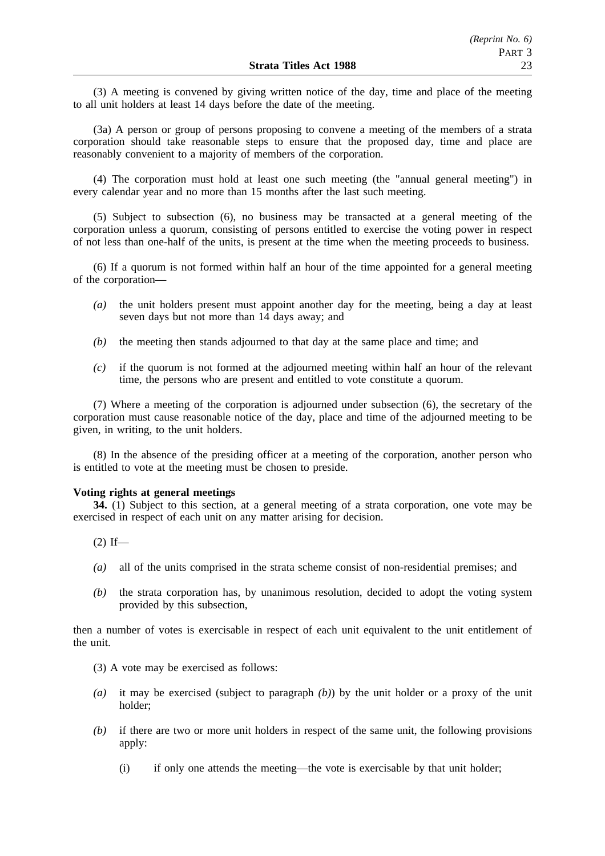(3) A meeting is convened by giving written notice of the day, time and place of the meeting to all unit holders at least 14 days before the date of the meeting.

(3a) A person or group of persons proposing to convene a meeting of the members of a strata corporation should take reasonable steps to ensure that the proposed day, time and place are reasonably convenient to a majority of members of the corporation.

(4) The corporation must hold at least one such meeting (the "annual general meeting") in every calendar year and no more than 15 months after the last such meeting.

(5) Subject to subsection (6), no business may be transacted at a general meeting of the corporation unless a quorum, consisting of persons entitled to exercise the voting power in respect of not less than one-half of the units, is present at the time when the meeting proceeds to business.

(6) If a quorum is not formed within half an hour of the time appointed for a general meeting of the corporation—

- *(a)* the unit holders present must appoint another day for the meeting, being a day at least seven days but not more than 14 days away; and
- *(b)* the meeting then stands adjourned to that day at the same place and time; and
- *(c)* if the quorum is not formed at the adjourned meeting within half an hour of the relevant time, the persons who are present and entitled to vote constitute a quorum.

(7) Where a meeting of the corporation is adjourned under subsection (6), the secretary of the corporation must cause reasonable notice of the day, place and time of the adjourned meeting to be given, in writing, to the unit holders.

(8) In the absence of the presiding officer at a meeting of the corporation, another person who is entitled to vote at the meeting must be chosen to preside.

#### **Voting rights at general meetings**

**34.** (1) Subject to this section, at a general meeting of a strata corporation, one vote may be exercised in respect of each unit on any matter arising for decision.

 $(2)$  If—

- *(a)* all of the units comprised in the strata scheme consist of non-residential premises; and
- *(b)* the strata corporation has, by unanimous resolution, decided to adopt the voting system provided by this subsection,

then a number of votes is exercisable in respect of each unit equivalent to the unit entitlement of the unit.

- (3) A vote may be exercised as follows:
- *(a)* it may be exercised (subject to paragraph *(b)*) by the unit holder or a proxy of the unit holder;
- *(b)* if there are two or more unit holders in respect of the same unit, the following provisions apply:
	- (i) if only one attends the meeting—the vote is exercisable by that unit holder;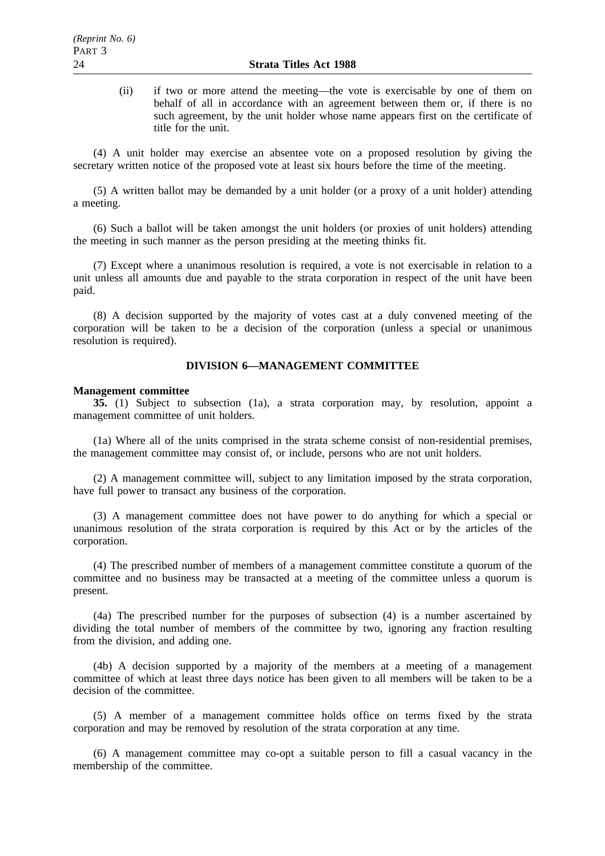(ii) if two or more attend the meeting—the vote is exercisable by one of them on behalf of all in accordance with an agreement between them or, if there is no such agreement, by the unit holder whose name appears first on the certificate of title for the unit.

(4) A unit holder may exercise an absentee vote on a proposed resolution by giving the secretary written notice of the proposed vote at least six hours before the time of the meeting.

(5) A written ballot may be demanded by a unit holder (or a proxy of a unit holder) attending a meeting.

(6) Such a ballot will be taken amongst the unit holders (or proxies of unit holders) attending the meeting in such manner as the person presiding at the meeting thinks fit.

(7) Except where a unanimous resolution is required, a vote is not exercisable in relation to a unit unless all amounts due and payable to the strata corporation in respect of the unit have been paid.

(8) A decision supported by the majority of votes cast at a duly convened meeting of the corporation will be taken to be a decision of the corporation (unless a special or unanimous resolution is required).

# **DIVISION 6—MANAGEMENT COMMITTEE**

#### **Management committee**

**35.** (1) Subject to subsection (1a), a strata corporation may, by resolution, appoint a management committee of unit holders.

(1a) Where all of the units comprised in the strata scheme consist of non-residential premises, the management committee may consist of, or include, persons who are not unit holders.

(2) A management committee will, subject to any limitation imposed by the strata corporation, have full power to transact any business of the corporation.

(3) A management committee does not have power to do anything for which a special or unanimous resolution of the strata corporation is required by this Act or by the articles of the corporation.

(4) The prescribed number of members of a management committee constitute a quorum of the committee and no business may be transacted at a meeting of the committee unless a quorum is present.

(4a) The prescribed number for the purposes of subsection (4) is a number ascertained by dividing the total number of members of the committee by two, ignoring any fraction resulting from the division, and adding one.

(4b) A decision supported by a majority of the members at a meeting of a management committee of which at least three days notice has been given to all members will be taken to be a decision of the committee.

(5) A member of a management committee holds office on terms fixed by the strata corporation and may be removed by resolution of the strata corporation at any time.

(6) A management committee may co-opt a suitable person to fill a casual vacancy in the membership of the committee.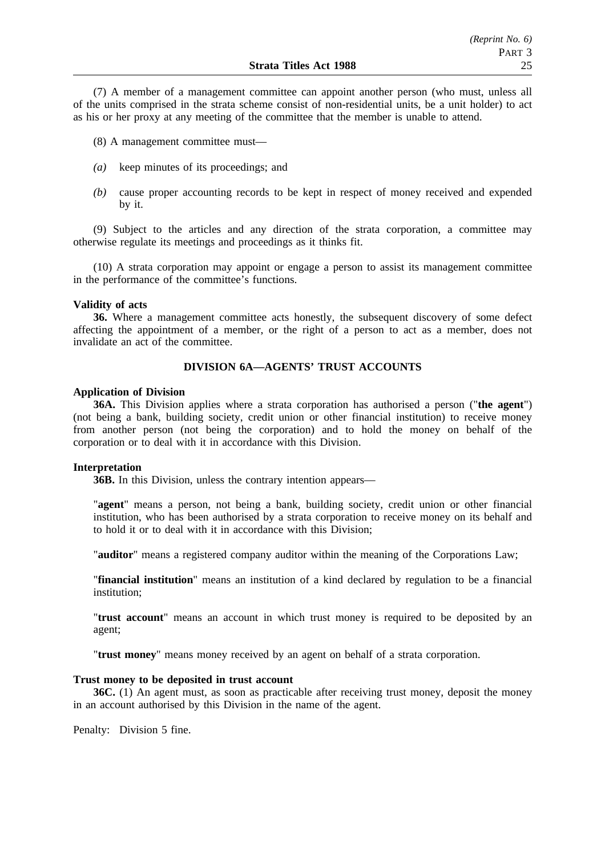(7) A member of a management committee can appoint another person (who must, unless all of the units comprised in the strata scheme consist of non-residential units, be a unit holder) to act as his or her proxy at any meeting of the committee that the member is unable to attend.

(8) A management committee must—

- *(a)* keep minutes of its proceedings; and
- *(b)* cause proper accounting records to be kept in respect of money received and expended by it.

(9) Subject to the articles and any direction of the strata corporation, a committee may otherwise regulate its meetings and proceedings as it thinks fit.

(10) A strata corporation may appoint or engage a person to assist its management committee in the performance of the committee's functions.

#### **Validity of acts**

**36.** Where a management committee acts honestly, the subsequent discovery of some defect affecting the appointment of a member, or the right of a person to act as a member, does not invalidate an act of the committee.

# **DIVISION 6A—AGENTS' TRUST ACCOUNTS**

## **Application of Division**

**36A.** This Division applies where a strata corporation has authorised a person ("**the agent**") (not being a bank, building society, credit union or other financial institution) to receive money from another person (not being the corporation) and to hold the money on behalf of the corporation or to deal with it in accordance with this Division.

## **Interpretation**

**36B.** In this Division, unless the contrary intention appears—

"**agent**" means a person, not being a bank, building society, credit union or other financial institution, who has been authorised by a strata corporation to receive money on its behalf and to hold it or to deal with it in accordance with this Division;

"**auditor**" means a registered company auditor within the meaning of the Corporations Law;

"**financial institution**" means an institution of a kind declared by regulation to be a financial institution;

"**trust account**" means an account in which trust money is required to be deposited by an agent;

"**trust money**" means money received by an agent on behalf of a strata corporation.

## **Trust money to be deposited in trust account**

**36C.** (1) An agent must, as soon as practicable after receiving trust money, deposit the money in an account authorised by this Division in the name of the agent.

Penalty: Division 5 fine.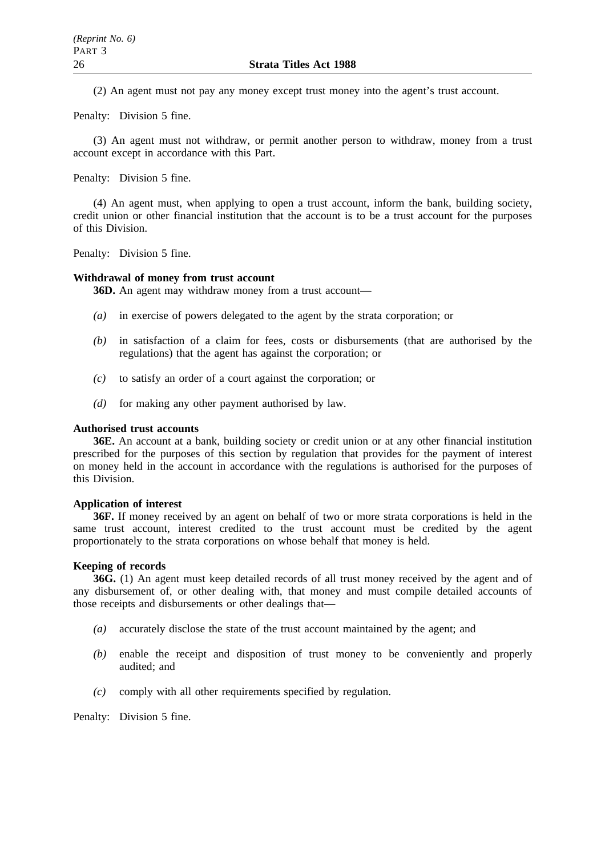(2) An agent must not pay any money except trust money into the agent's trust account.

Penalty: Division 5 fine.

(3) An agent must not withdraw, or permit another person to withdraw, money from a trust account except in accordance with this Part.

Penalty: Division 5 fine.

(4) An agent must, when applying to open a trust account, inform the bank, building society, credit union or other financial institution that the account is to be a trust account for the purposes of this Division.

Penalty: Division 5 fine.

#### **Withdrawal of money from trust account**

**36D.** An agent may withdraw money from a trust account—

- *(a)* in exercise of powers delegated to the agent by the strata corporation; or
- *(b)* in satisfaction of a claim for fees, costs or disbursements (that are authorised by the regulations) that the agent has against the corporation; or
- *(c)* to satisfy an order of a court against the corporation; or
- *(d)* for making any other payment authorised by law.

#### **Authorised trust accounts**

**36E.** An account at a bank, building society or credit union or at any other financial institution prescribed for the purposes of this section by regulation that provides for the payment of interest on money held in the account in accordance with the regulations is authorised for the purposes of this Division.

#### **Application of interest**

**36F.** If money received by an agent on behalf of two or more strata corporations is held in the same trust account, interest credited to the trust account must be credited by the agent proportionately to the strata corporations on whose behalf that money is held.

#### **Keeping of records**

**36G.** (1) An agent must keep detailed records of all trust money received by the agent and of any disbursement of, or other dealing with, that money and must compile detailed accounts of those receipts and disbursements or other dealings that—

- *(a)* accurately disclose the state of the trust account maintained by the agent; and
- *(b)* enable the receipt and disposition of trust money to be conveniently and properly audited; and
- *(c)* comply with all other requirements specified by regulation.

Penalty: Division 5 fine.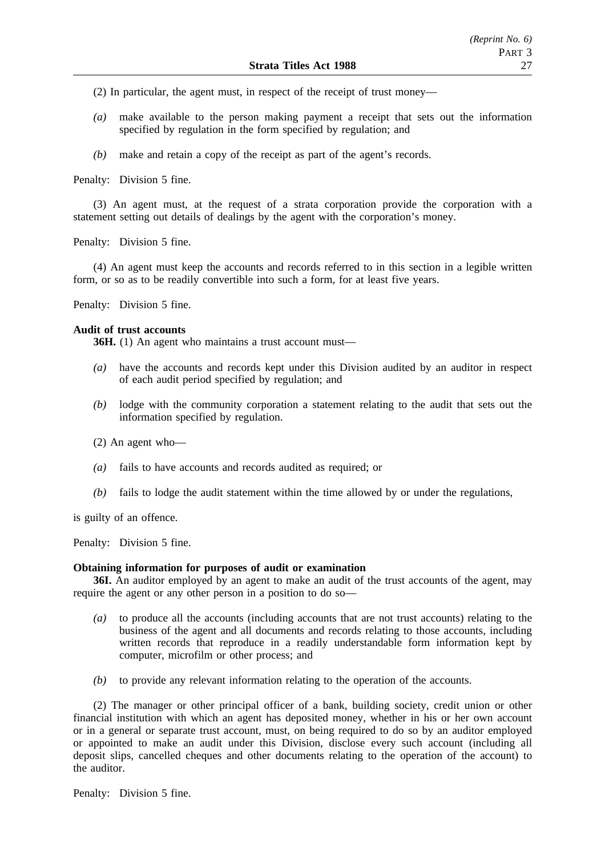- (2) In particular, the agent must, in respect of the receipt of trust money—
- *(a)* make available to the person making payment a receipt that sets out the information specified by regulation in the form specified by regulation; and
- *(b)* make and retain a copy of the receipt as part of the agent's records.

Penalty: Division 5 fine.

(3) An agent must, at the request of a strata corporation provide the corporation with a statement setting out details of dealings by the agent with the corporation's money.

Penalty: Division 5 fine.

(4) An agent must keep the accounts and records referred to in this section in a legible written form, or so as to be readily convertible into such a form, for at least five years.

Penalty: Division 5 fine.

# **Audit of trust accounts**

**36H.** (1) An agent who maintains a trust account must—

- *(a)* have the accounts and records kept under this Division audited by an auditor in respect of each audit period specified by regulation; and
- *(b)* lodge with the community corporation a statement relating to the audit that sets out the information specified by regulation.
- (2) An agent who—
- *(a)* fails to have accounts and records audited as required; or
- *(b)* fails to lodge the audit statement within the time allowed by or under the regulations,

is guilty of an offence.

Penalty: Division 5 fine.

#### **Obtaining information for purposes of audit or examination**

**36I.** An auditor employed by an agent to make an audit of the trust accounts of the agent, may require the agent or any other person in a position to do so—

- *(a)* to produce all the accounts (including accounts that are not trust accounts) relating to the business of the agent and all documents and records relating to those accounts, including written records that reproduce in a readily understandable form information kept by computer, microfilm or other process; and
- *(b)* to provide any relevant information relating to the operation of the accounts.

(2) The manager or other principal officer of a bank, building society, credit union or other financial institution with which an agent has deposited money, whether in his or her own account or in a general or separate trust account, must, on being required to do so by an auditor employed or appointed to make an audit under this Division, disclose every such account (including all deposit slips, cancelled cheques and other documents relating to the operation of the account) to the auditor.

Penalty: Division 5 fine.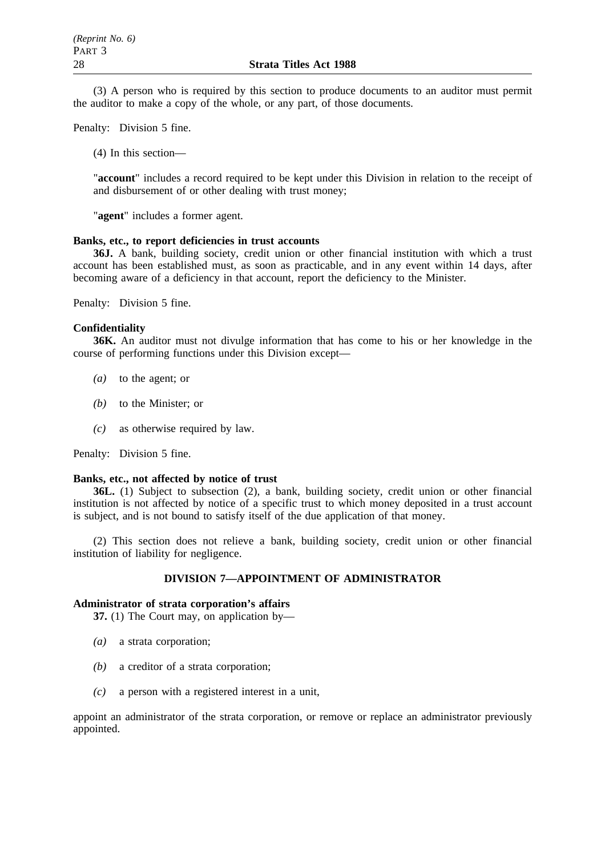(3) A person who is required by this section to produce documents to an auditor must permit the auditor to make a copy of the whole, or any part, of those documents.

Penalty: Division 5 fine.

(4) In this section—

"**account**" includes a record required to be kept under this Division in relation to the receipt of and disbursement of or other dealing with trust money;

"**agent**" includes a former agent.

# **Banks, etc., to report deficiencies in trust accounts**

**36J.** A bank, building society, credit union or other financial institution with which a trust account has been established must, as soon as practicable, and in any event within 14 days, after becoming aware of a deficiency in that account, report the deficiency to the Minister.

Penalty: Division 5 fine.

### **Confidentiality**

**36K.** An auditor must not divulge information that has come to his or her knowledge in the course of performing functions under this Division except—

- *(a)* to the agent; or
- *(b)* to the Minister; or
- *(c)* as otherwise required by law.

Penalty: Division 5 fine.

#### **Banks, etc., not affected by notice of trust**

**36L.** (1) Subject to subsection (2), a bank, building society, credit union or other financial institution is not affected by notice of a specific trust to which money deposited in a trust account is subject, and is not bound to satisfy itself of the due application of that money.

(2) This section does not relieve a bank, building society, credit union or other financial institution of liability for negligence.

## **DIVISION 7—APPOINTMENT OF ADMINISTRATOR**

### **Administrator of strata corporation's affairs**

**37.** (1) The Court may, on application by—

- *(a)* a strata corporation;
- *(b)* a creditor of a strata corporation;
- *(c)* a person with a registered interest in a unit,

appoint an administrator of the strata corporation, or remove or replace an administrator previously appointed.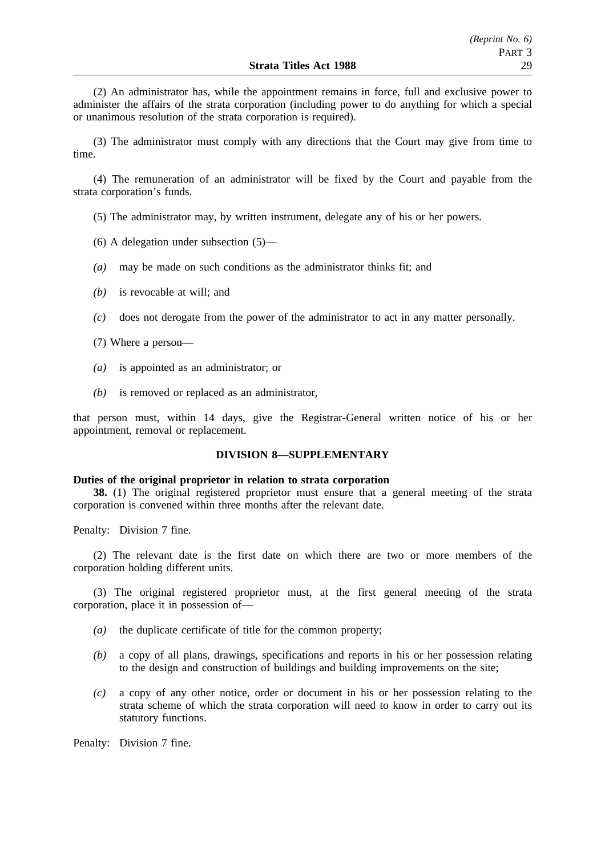(2) An administrator has, while the appointment remains in force, full and exclusive power to administer the affairs of the strata corporation (including power to do anything for which a special or unanimous resolution of the strata corporation is required).

(3) The administrator must comply with any directions that the Court may give from time to time.

(4) The remuneration of an administrator will be fixed by the Court and payable from the strata corporation's funds.

(5) The administrator may, by written instrument, delegate any of his or her powers.

- (6) A delegation under subsection (5)—
- *(a)* may be made on such conditions as the administrator thinks fit; and
- *(b)* is revocable at will; and
- *(c)* does not derogate from the power of the administrator to act in any matter personally.
- (7) Where a person—
- *(a)* is appointed as an administrator; or
- *(b)* is removed or replaced as an administrator,

that person must, within 14 days, give the Registrar-General written notice of his or her appointment, removal or replacement.

# **DIVISION 8—SUPPLEMENTARY**

#### **Duties of the original proprietor in relation to strata corporation**

**38.** (1) The original registered proprietor must ensure that a general meeting of the strata corporation is convened within three months after the relevant date.

Penalty: Division 7 fine.

(2) The relevant date is the first date on which there are two or more members of the corporation holding different units.

(3) The original registered proprietor must, at the first general meeting of the strata corporation, place it in possession of—

- *(a)* the duplicate certificate of title for the common property;
- *(b)* a copy of all plans, drawings, specifications and reports in his or her possession relating to the design and construction of buildings and building improvements on the site;
- *(c)* a copy of any other notice, order or document in his or her possession relating to the strata scheme of which the strata corporation will need to know in order to carry out its statutory functions.

Penalty: Division 7 fine.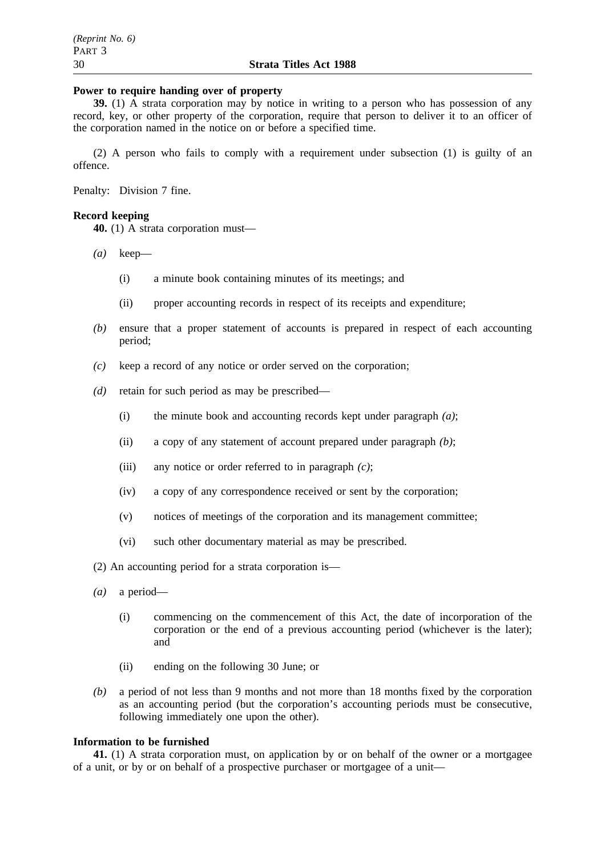#### **Power to require handing over of property**

**39.** (1) A strata corporation may by notice in writing to a person who has possession of any record, key, or other property of the corporation, require that person to deliver it to an officer of the corporation named in the notice on or before a specified time.

(2) A person who fails to comply with a requirement under subsection (1) is guilty of an offence.

Penalty: Division 7 fine.

# **Record keeping**

**40.** (1) A strata corporation must—

- *(a)* keep—
	- (i) a minute book containing minutes of its meetings; and
	- (ii) proper accounting records in respect of its receipts and expenditure;
- *(b)* ensure that a proper statement of accounts is prepared in respect of each accounting period;
- *(c)* keep a record of any notice or order served on the corporation;
- *(d)* retain for such period as may be prescribed—
	- (i) the minute book and accounting records kept under paragraph *(a)*;
	- (ii) a copy of any statement of account prepared under paragraph *(b)*;
	- (iii) any notice or order referred to in paragraph *(c)*;
	- (iv) a copy of any correspondence received or sent by the corporation;
	- (v) notices of meetings of the corporation and its management committee;
	- (vi) such other documentary material as may be prescribed.

(2) An accounting period for a strata corporation is—

- *(a)* a period—
	- (i) commencing on the commencement of this Act, the date of incorporation of the corporation or the end of a previous accounting period (whichever is the later); and
	- (ii) ending on the following 30 June; or
- *(b)* a period of not less than 9 months and not more than 18 months fixed by the corporation as an accounting period (but the corporation's accounting periods must be consecutive, following immediately one upon the other).

#### **Information to be furnished**

**41.** (1) A strata corporation must, on application by or on behalf of the owner or a mortgagee of a unit, or by or on behalf of a prospective purchaser or mortgagee of a unit—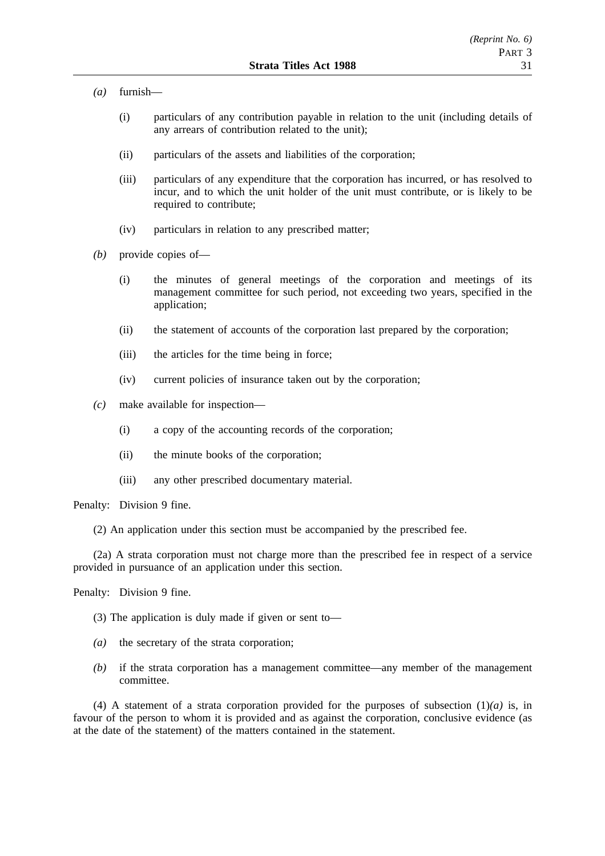- *(a)* furnish—
	- (i) particulars of any contribution payable in relation to the unit (including details of any arrears of contribution related to the unit);
	- (ii) particulars of the assets and liabilities of the corporation;
	- (iii) particulars of any expenditure that the corporation has incurred, or has resolved to incur, and to which the unit holder of the unit must contribute, or is likely to be required to contribute;
	- (iv) particulars in relation to any prescribed matter;
- *(b)* provide copies of—
	- (i) the minutes of general meetings of the corporation and meetings of its management committee for such period, not exceeding two years, specified in the application;
	- (ii) the statement of accounts of the corporation last prepared by the corporation;
	- (iii) the articles for the time being in force;
	- (iv) current policies of insurance taken out by the corporation;
- *(c)* make available for inspection—
	- (i) a copy of the accounting records of the corporation;
	- (ii) the minute books of the corporation;
	- (iii) any other prescribed documentary material.

Penalty: Division 9 fine.

(2) An application under this section must be accompanied by the prescribed fee.

(2a) A strata corporation must not charge more than the prescribed fee in respect of a service provided in pursuance of an application under this section.

Penalty: Division 9 fine.

- (3) The application is duly made if given or sent to—
- *(a)* the secretary of the strata corporation;
- *(b)* if the strata corporation has a management committee—any member of the management committee.

(4) A statement of a strata corporation provided for the purposes of subsection  $(1)(a)$  is, in favour of the person to whom it is provided and as against the corporation, conclusive evidence (as at the date of the statement) of the matters contained in the statement.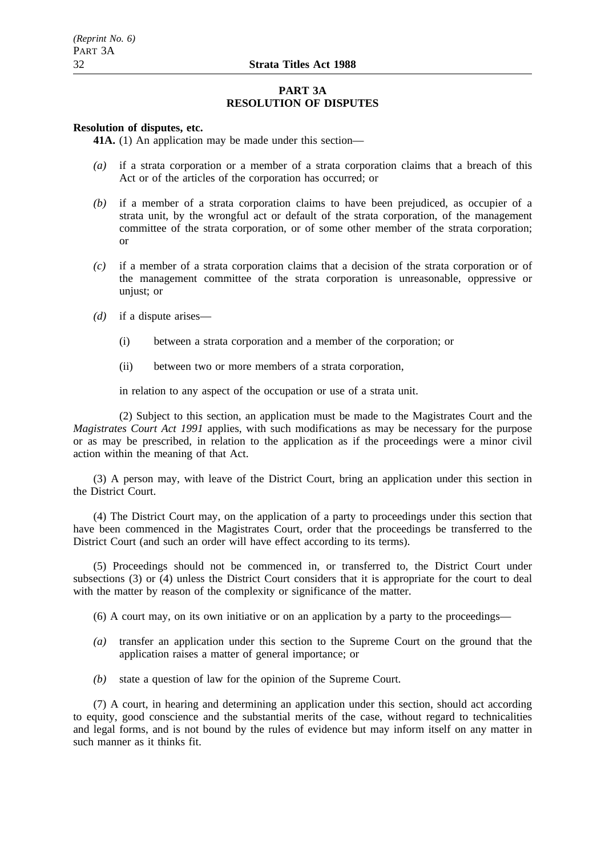## **PART 3A RESOLUTION OF DISPUTES**

#### **Resolution of disputes, etc.**

**41A.** (1) An application may be made under this section—

- *(a)* if a strata corporation or a member of a strata corporation claims that a breach of this Act or of the articles of the corporation has occurred; or
- *(b)* if a member of a strata corporation claims to have been prejudiced, as occupier of a strata unit, by the wrongful act or default of the strata corporation, of the management committee of the strata corporation, or of some other member of the strata corporation; or
- *(c)* if a member of a strata corporation claims that a decision of the strata corporation or of the management committee of the strata corporation is unreasonable, oppressive or unjust; or
- *(d)* if a dispute arises—
	- (i) between a strata corporation and a member of the corporation; or
	- (ii) between two or more members of a strata corporation,

in relation to any aspect of the occupation or use of a strata unit.

(2) Subject to this section, an application must be made to the Magistrates Court and the *Magistrates Court Act 1991* applies, with such modifications as may be necessary for the purpose or as may be prescribed, in relation to the application as if the proceedings were a minor civil action within the meaning of that Act.

(3) A person may, with leave of the District Court, bring an application under this section in the District Court.

(4) The District Court may, on the application of a party to proceedings under this section that have been commenced in the Magistrates Court, order that the proceedings be transferred to the District Court (and such an order will have effect according to its terms).

(5) Proceedings should not be commenced in, or transferred to, the District Court under subsections (3) or (4) unless the District Court considers that it is appropriate for the court to deal with the matter by reason of the complexity or significance of the matter.

(6) A court may, on its own initiative or on an application by a party to the proceedings—

- *(a)* transfer an application under this section to the Supreme Court on the ground that the application raises a matter of general importance; or
- *(b)* state a question of law for the opinion of the Supreme Court.

(7) A court, in hearing and determining an application under this section, should act according to equity, good conscience and the substantial merits of the case, without regard to technicalities and legal forms, and is not bound by the rules of evidence but may inform itself on any matter in such manner as it thinks fit.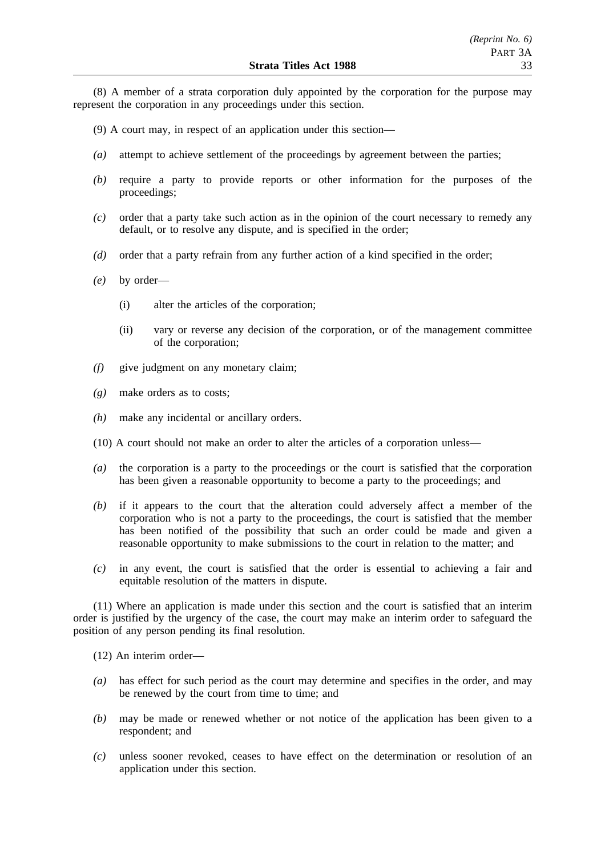(8) A member of a strata corporation duly appointed by the corporation for the purpose may represent the corporation in any proceedings under this section.

- (9) A court may, in respect of an application under this section—
- *(a)* attempt to achieve settlement of the proceedings by agreement between the parties;
- *(b)* require a party to provide reports or other information for the purposes of the proceedings;
- *(c)* order that a party take such action as in the opinion of the court necessary to remedy any default, or to resolve any dispute, and is specified in the order;
- *(d)* order that a party refrain from any further action of a kind specified in the order;
- *(e)* by order—
	- (i) alter the articles of the corporation;
	- (ii) vary or reverse any decision of the corporation, or of the management committee of the corporation;
- *(f)* give judgment on any monetary claim;
- *(g)* make orders as to costs;
- *(h)* make any incidental or ancillary orders.
- (10) A court should not make an order to alter the articles of a corporation unless—
- *(a)* the corporation is a party to the proceedings or the court is satisfied that the corporation has been given a reasonable opportunity to become a party to the proceedings; and
- *(b)* if it appears to the court that the alteration could adversely affect a member of the corporation who is not a party to the proceedings, the court is satisfied that the member has been notified of the possibility that such an order could be made and given a reasonable opportunity to make submissions to the court in relation to the matter; and
- *(c)* in any event, the court is satisfied that the order is essential to achieving a fair and equitable resolution of the matters in dispute.

(11) Where an application is made under this section and the court is satisfied that an interim order is justified by the urgency of the case, the court may make an interim order to safeguard the position of any person pending its final resolution.

(12) An interim order—

- *(a)* has effect for such period as the court may determine and specifies in the order, and may be renewed by the court from time to time; and
- *(b)* may be made or renewed whether or not notice of the application has been given to a respondent; and
- *(c)* unless sooner revoked, ceases to have effect on the determination or resolution of an application under this section.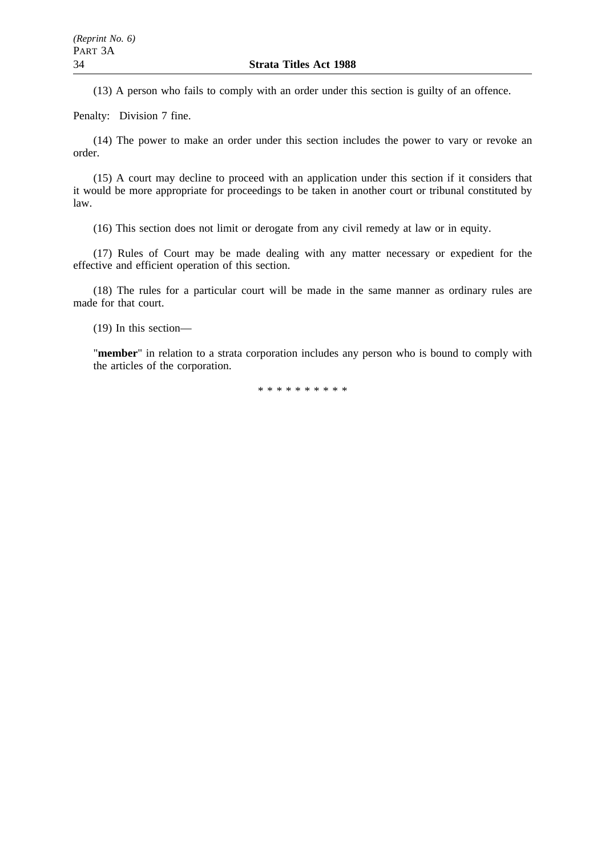(13) A person who fails to comply with an order under this section is guilty of an offence.

Penalty: Division 7 fine.

(14) The power to make an order under this section includes the power to vary or revoke an order.

(15) A court may decline to proceed with an application under this section if it considers that it would be more appropriate for proceedings to be taken in another court or tribunal constituted by law.

(16) This section does not limit or derogate from any civil remedy at law or in equity.

(17) Rules of Court may be made dealing with any matter necessary or expedient for the effective and efficient operation of this section.

(18) The rules for a particular court will be made in the same manner as ordinary rules are made for that court.

(19) In this section—

"**member**" in relation to a strata corporation includes any person who is bound to comply with the articles of the corporation.

\*\*\*\*\*\*\*\*\*\*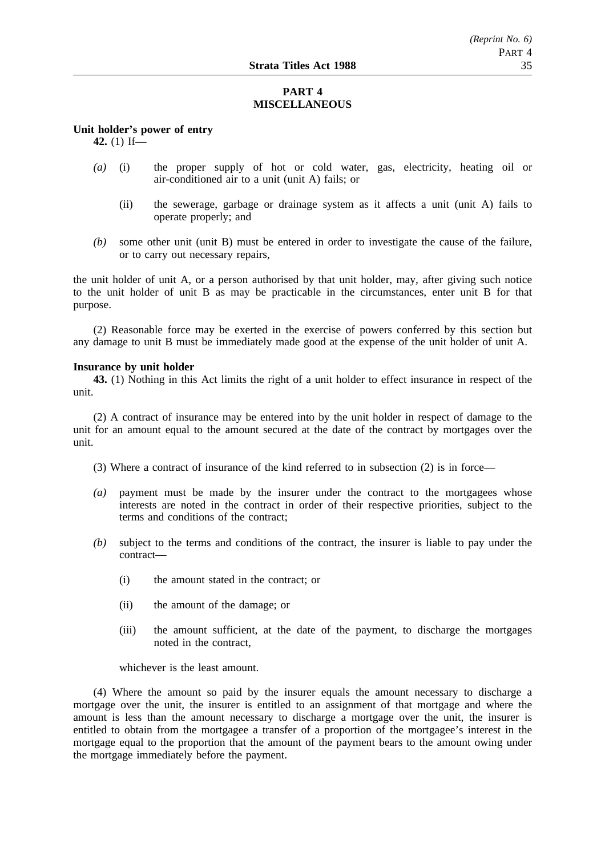# **PART 4 MISCELLANEOUS**

**Unit holder's power of entry**

**42.** (1) If—

- *(a)* (i) the proper supply of hot or cold water, gas, electricity, heating oil or air-conditioned air to a unit (unit A) fails; or
	- (ii) the sewerage, garbage or drainage system as it affects a unit (unit A) fails to operate properly; and
- *(b)* some other unit (unit B) must be entered in order to investigate the cause of the failure, or to carry out necessary repairs,

the unit holder of unit A, or a person authorised by that unit holder, may, after giving such notice to the unit holder of unit B as may be practicable in the circumstances, enter unit B for that purpose.

(2) Reasonable force may be exerted in the exercise of powers conferred by this section but any damage to unit B must be immediately made good at the expense of the unit holder of unit A.

#### **Insurance by unit holder**

**43.** (1) Nothing in this Act limits the right of a unit holder to effect insurance in respect of the unit.

(2) A contract of insurance may be entered into by the unit holder in respect of damage to the unit for an amount equal to the amount secured at the date of the contract by mortgages over the unit.

(3) Where a contract of insurance of the kind referred to in subsection (2) is in force—

- *(a)* payment must be made by the insurer under the contract to the mortgagees whose interests are noted in the contract in order of their respective priorities, subject to the terms and conditions of the contract;
- *(b)* subject to the terms and conditions of the contract, the insurer is liable to pay under the contract—
	- (i) the amount stated in the contract; or
	- (ii) the amount of the damage; or
	- (iii) the amount sufficient, at the date of the payment, to discharge the mortgages noted in the contract,

whichever is the least amount.

(4) Where the amount so paid by the insurer equals the amount necessary to discharge a mortgage over the unit, the insurer is entitled to an assignment of that mortgage and where the amount is less than the amount necessary to discharge a mortgage over the unit, the insurer is entitled to obtain from the mortgagee a transfer of a proportion of the mortgagee's interest in the mortgage equal to the proportion that the amount of the payment bears to the amount owing under the mortgage immediately before the payment.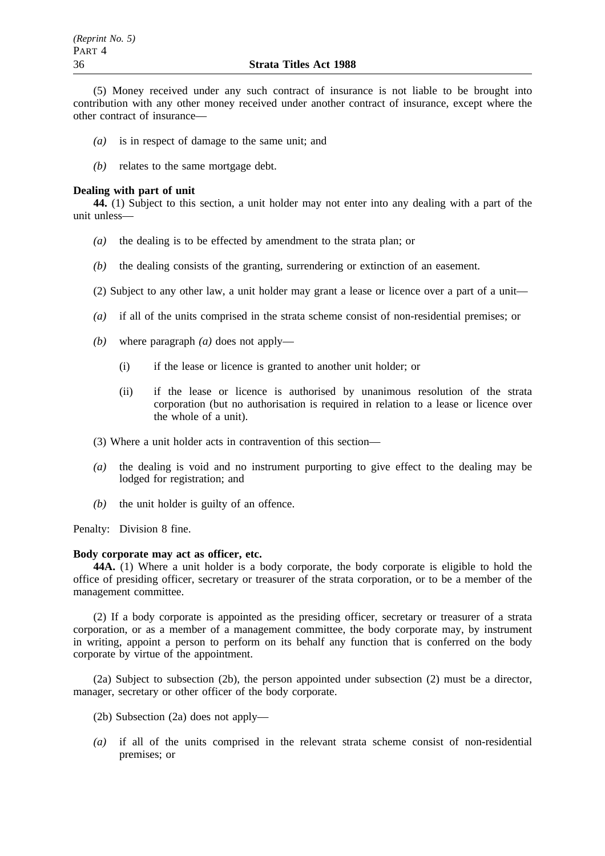(5) Money received under any such contract of insurance is not liable to be brought into contribution with any other money received under another contract of insurance, except where the other contract of insurance—

- *(a)* is in respect of damage to the same unit; and
- *(b)* relates to the same mortgage debt.

#### **Dealing with part of unit**

**44.** (1) Subject to this section, a unit holder may not enter into any dealing with a part of the unit unless—

- *(a)* the dealing is to be effected by amendment to the strata plan; or
- *(b)* the dealing consists of the granting, surrendering or extinction of an easement.
- (2) Subject to any other law, a unit holder may grant a lease or licence over a part of a unit—
- *(a)* if all of the units comprised in the strata scheme consist of non-residential premises; or
- *(b)* where paragraph *(a)* does not apply—
	- (i) if the lease or licence is granted to another unit holder; or
	- (ii) if the lease or licence is authorised by unanimous resolution of the strata corporation (but no authorisation is required in relation to a lease or licence over the whole of a unit).
- (3) Where a unit holder acts in contravention of this section—
- *(a)* the dealing is void and no instrument purporting to give effect to the dealing may be lodged for registration; and
- *(b)* the unit holder is guilty of an offence.

Penalty: Division 8 fine.

# **Body corporate may act as officer, etc.**

**44A.** (1) Where a unit holder is a body corporate, the body corporate is eligible to hold the office of presiding officer, secretary or treasurer of the strata corporation, or to be a member of the management committee.

(2) If a body corporate is appointed as the presiding officer, secretary or treasurer of a strata corporation, or as a member of a management committee, the body corporate may, by instrument in writing, appoint a person to perform on its behalf any function that is conferred on the body corporate by virtue of the appointment.

(2a) Subject to subsection (2b), the person appointed under subsection (2) must be a director, manager, secretary or other officer of the body corporate.

- (2b) Subsection (2a) does not apply—
- *(a)* if all of the units comprised in the relevant strata scheme consist of non-residential premises; or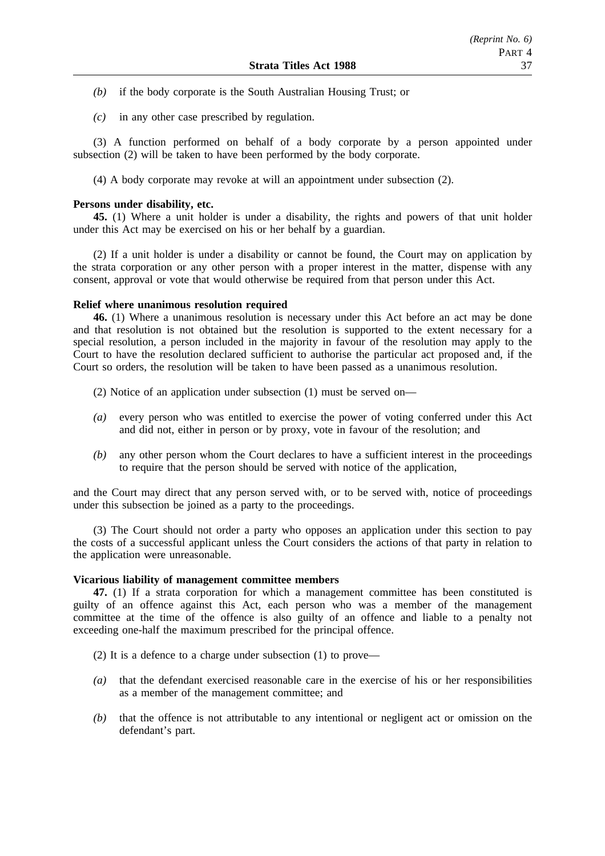- *(b)* if the body corporate is the South Australian Housing Trust; or
- *(c)* in any other case prescribed by regulation.

(3) A function performed on behalf of a body corporate by a person appointed under subsection (2) will be taken to have been performed by the body corporate.

(4) A body corporate may revoke at will an appointment under subsection (2).

#### **Persons under disability, etc.**

**45.** (1) Where a unit holder is under a disability, the rights and powers of that unit holder under this Act may be exercised on his or her behalf by a guardian.

(2) If a unit holder is under a disability or cannot be found, the Court may on application by the strata corporation or any other person with a proper interest in the matter, dispense with any consent, approval or vote that would otherwise be required from that person under this Act.

#### **Relief where unanimous resolution required**

**46.** (1) Where a unanimous resolution is necessary under this Act before an act may be done and that resolution is not obtained but the resolution is supported to the extent necessary for a special resolution, a person included in the majority in favour of the resolution may apply to the Court to have the resolution declared sufficient to authorise the particular act proposed and, if the Court so orders, the resolution will be taken to have been passed as a unanimous resolution.

(2) Notice of an application under subsection (1) must be served on—

- *(a)* every person who was entitled to exercise the power of voting conferred under this Act and did not, either in person or by proxy, vote in favour of the resolution; and
- *(b)* any other person whom the Court declares to have a sufficient interest in the proceedings to require that the person should be served with notice of the application,

and the Court may direct that any person served with, or to be served with, notice of proceedings under this subsection be joined as a party to the proceedings.

(3) The Court should not order a party who opposes an application under this section to pay the costs of a successful applicant unless the Court considers the actions of that party in relation to the application were unreasonable.

#### **Vicarious liability of management committee members**

**47.** (1) If a strata corporation for which a management committee has been constituted is guilty of an offence against this Act, each person who was a member of the management committee at the time of the offence is also guilty of an offence and liable to a penalty not exceeding one-half the maximum prescribed for the principal offence.

- (2) It is a defence to a charge under subsection (1) to prove—
- *(a)* that the defendant exercised reasonable care in the exercise of his or her responsibilities as a member of the management committee; and
- *(b)* that the offence is not attributable to any intentional or negligent act or omission on the defendant's part.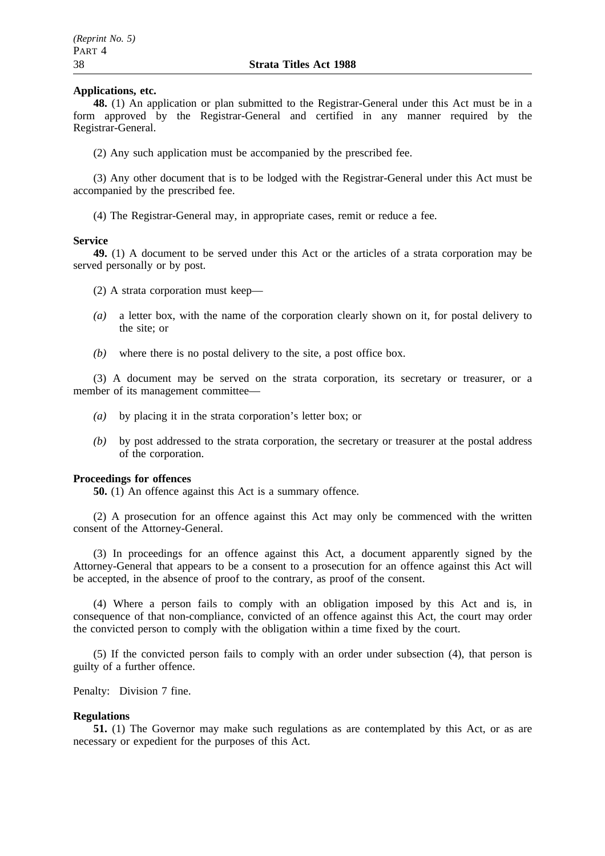#### **Applications, etc.**

**48.** (1) An application or plan submitted to the Registrar-General under this Act must be in a form approved by the Registrar-General and certified in any manner required by the Registrar-General.

(2) Any such application must be accompanied by the prescribed fee.

(3) Any other document that is to be lodged with the Registrar-General under this Act must be accompanied by the prescribed fee.

(4) The Registrar-General may, in appropriate cases, remit or reduce a fee.

#### **Service**

**49.** (1) A document to be served under this Act or the articles of a strata corporation may be served personally or by post.

(2) A strata corporation must keep—

- *(a)* a letter box, with the name of the corporation clearly shown on it, for postal delivery to the site; or
- *(b)* where there is no postal delivery to the site, a post office box.

(3) A document may be served on the strata corporation, its secretary or treasurer, or a member of its management committee—

- *(a)* by placing it in the strata corporation's letter box; or
- *(b)* by post addressed to the strata corporation, the secretary or treasurer at the postal address of the corporation.

#### **Proceedings for offences**

**50.** (1) An offence against this Act is a summary offence.

(2) A prosecution for an offence against this Act may only be commenced with the written consent of the Attorney-General.

(3) In proceedings for an offence against this Act, a document apparently signed by the Attorney-General that appears to be a consent to a prosecution for an offence against this Act will be accepted, in the absence of proof to the contrary, as proof of the consent.

(4) Where a person fails to comply with an obligation imposed by this Act and is, in consequence of that non-compliance, convicted of an offence against this Act, the court may order the convicted person to comply with the obligation within a time fixed by the court.

(5) If the convicted person fails to comply with an order under subsection (4), that person is guilty of a further offence.

Penalty: Division 7 fine.

# **Regulations**

**51.** (1) The Governor may make such regulations as are contemplated by this Act, or as are necessary or expedient for the purposes of this Act.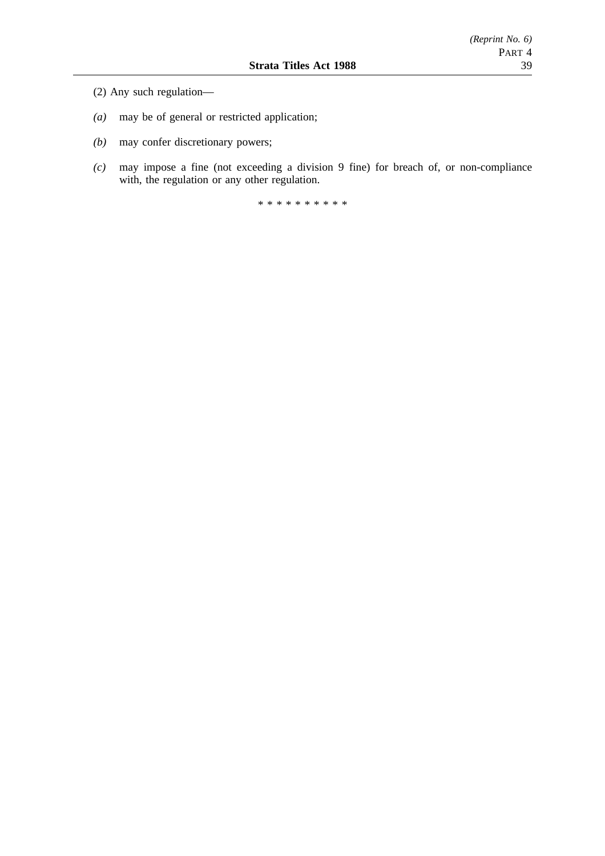- (2) Any such regulation—
- *(a)* may be of general or restricted application;
- *(b)* may confer discretionary powers;
- *(c)* may impose a fine (not exceeding a division 9 fine) for breach of, or non-compliance with, the regulation or any other regulation.

\*\*\*\*\*\*\*\*\*\*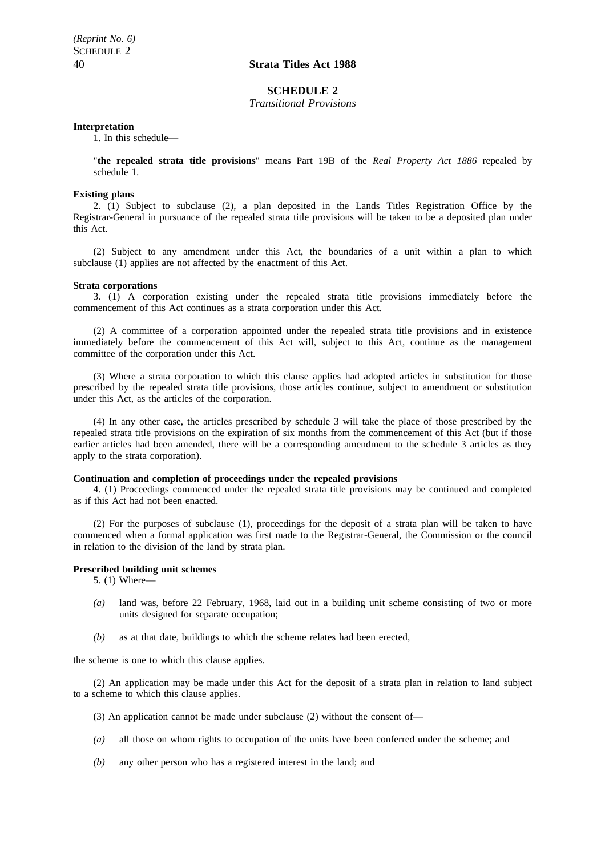#### **SCHEDULE 2**

*Transitional Provisions*

#### **Interpretation**

1. In this schedule—

"**the repealed strata title provisions**" means Part 19B of the *Real Property Act 1886* repealed by schedule 1.

#### **Existing plans**

2. (1) Subject to subclause (2), a plan deposited in the Lands Titles Registration Office by the Registrar-General in pursuance of the repealed strata title provisions will be taken to be a deposited plan under this Act.

(2) Subject to any amendment under this Act, the boundaries of a unit within a plan to which subclause (1) applies are not affected by the enactment of this Act.

#### **Strata corporations**

3. (1) A corporation existing under the repealed strata title provisions immediately before the commencement of this Act continues as a strata corporation under this Act.

(2) A committee of a corporation appointed under the repealed strata title provisions and in existence immediately before the commencement of this Act will, subject to this Act, continue as the management committee of the corporation under this Act.

(3) Where a strata corporation to which this clause applies had adopted articles in substitution for those prescribed by the repealed strata title provisions, those articles continue, subject to amendment or substitution under this Act, as the articles of the corporation.

(4) In any other case, the articles prescribed by schedule 3 will take the place of those prescribed by the repealed strata title provisions on the expiration of six months from the commencement of this Act (but if those earlier articles had been amended, there will be a corresponding amendment to the schedule 3 articles as they apply to the strata corporation).

#### **Continuation and completion of proceedings under the repealed provisions**

4. (1) Proceedings commenced under the repealed strata title provisions may be continued and completed as if this Act had not been enacted.

(2) For the purposes of subclause (1), proceedings for the deposit of a strata plan will be taken to have commenced when a formal application was first made to the Registrar-General, the Commission or the council in relation to the division of the land by strata plan.

#### **Prescribed building unit schemes**

5. (1) Where—

- *(a)* land was, before 22 February, 1968, laid out in a building unit scheme consisting of two or more units designed for separate occupation;
- *(b)* as at that date, buildings to which the scheme relates had been erected,

the scheme is one to which this clause applies.

(2) An application may be made under this Act for the deposit of a strata plan in relation to land subject to a scheme to which this clause applies.

- (3) An application cannot be made under subclause (2) without the consent of—
- *(a)* all those on whom rights to occupation of the units have been conferred under the scheme; and
- *(b)* any other person who has a registered interest in the land; and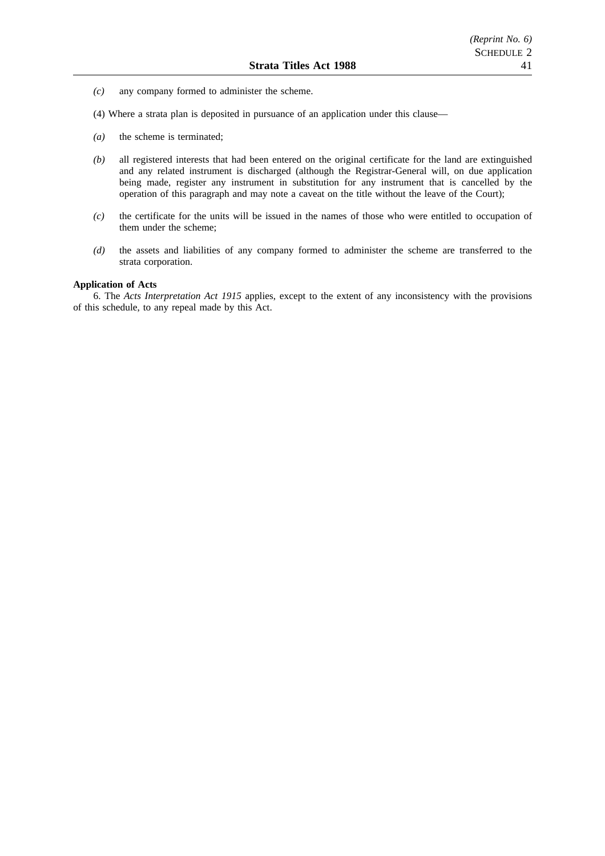- *(c)* any company formed to administer the scheme.
- (4) Where a strata plan is deposited in pursuance of an application under this clause—
- *(a)* the scheme is terminated;
- *(b)* all registered interests that had been entered on the original certificate for the land are extinguished and any related instrument is discharged (although the Registrar-General will, on due application being made, register any instrument in substitution for any instrument that is cancelled by the operation of this paragraph and may note a caveat on the title without the leave of the Court);
- *(c)* the certificate for the units will be issued in the names of those who were entitled to occupation of them under the scheme;
- *(d)* the assets and liabilities of any company formed to administer the scheme are transferred to the strata corporation.

#### **Application of Acts**

6. The *Acts Interpretation Act 1915* applies, except to the extent of any inconsistency with the provisions of this schedule, to any repeal made by this Act.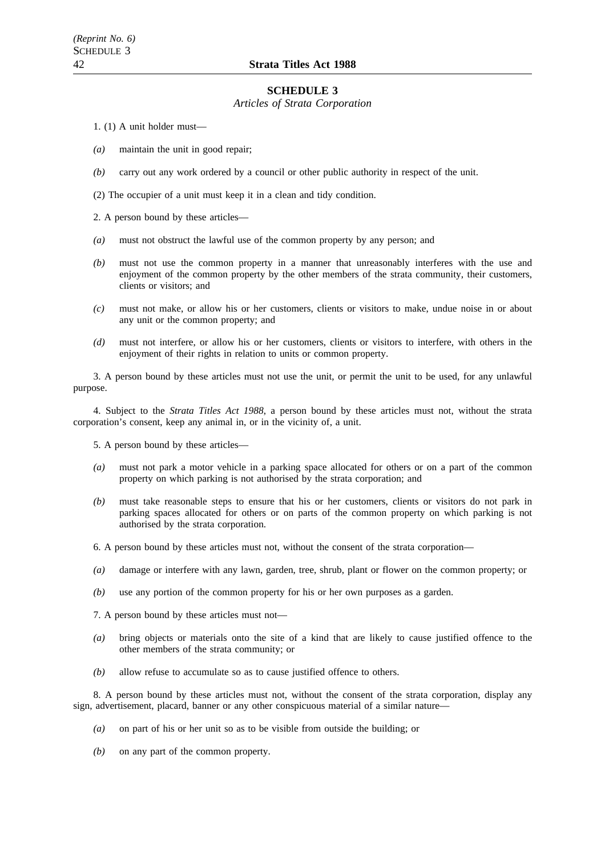#### **SCHEDULE 3**

*Articles of Strata Corporation*

1. (1) A unit holder must—

- *(a)* maintain the unit in good repair;
- *(b)* carry out any work ordered by a council or other public authority in respect of the unit.

(2) The occupier of a unit must keep it in a clean and tidy condition.

2. A person bound by these articles—

- *(a)* must not obstruct the lawful use of the common property by any person; and
- *(b)* must not use the common property in a manner that unreasonably interferes with the use and enjoyment of the common property by the other members of the strata community, their customers, clients or visitors; and
- *(c)* must not make, or allow his or her customers, clients or visitors to make, undue noise in or about any unit or the common property; and
- *(d)* must not interfere, or allow his or her customers, clients or visitors to interfere, with others in the enjoyment of their rights in relation to units or common property.

3. A person bound by these articles must not use the unit, or permit the unit to be used, for any unlawful purpose.

4. Subject to the *Strata Titles Act 1988*, a person bound by these articles must not, without the strata corporation's consent, keep any animal in, or in the vicinity of, a unit.

5. A person bound by these articles—

- *(a)* must not park a motor vehicle in a parking space allocated for others or on a part of the common property on which parking is not authorised by the strata corporation; and
- *(b)* must take reasonable steps to ensure that his or her customers, clients or visitors do not park in parking spaces allocated for others or on parts of the common property on which parking is not authorised by the strata corporation.
- 6. A person bound by these articles must not, without the consent of the strata corporation—
- *(a)* damage or interfere with any lawn, garden, tree, shrub, plant or flower on the common property; or
- *(b)* use any portion of the common property for his or her own purposes as a garden.
- 7. A person bound by these articles must not—
- *(a)* bring objects or materials onto the site of a kind that are likely to cause justified offence to the other members of the strata community; or
- *(b)* allow refuse to accumulate so as to cause justified offence to others.

8. A person bound by these articles must not, without the consent of the strata corporation, display any sign, advertisement, placard, banner or any other conspicuous material of a similar nature—

- *(a)* on part of his or her unit so as to be visible from outside the building; or
- *(b)* on any part of the common property.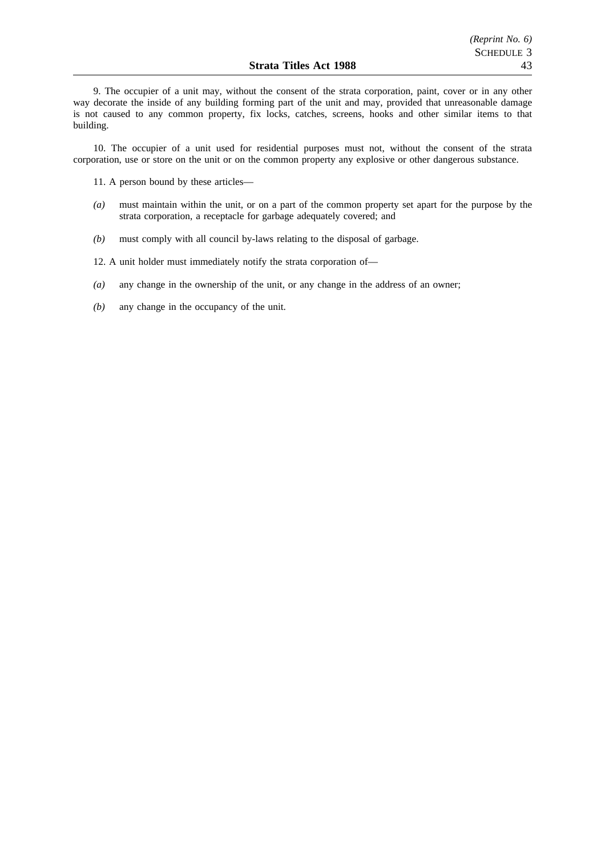9. The occupier of a unit may, without the consent of the strata corporation, paint, cover or in any other way decorate the inside of any building forming part of the unit and may, provided that unreasonable damage is not caused to any common property, fix locks, catches, screens, hooks and other similar items to that building.

10. The occupier of a unit used for residential purposes must not, without the consent of the strata corporation, use or store on the unit or on the common property any explosive or other dangerous substance.

11. A person bound by these articles—

- *(a)* must maintain within the unit, or on a part of the common property set apart for the purpose by the strata corporation, a receptacle for garbage adequately covered; and
- *(b)* must comply with all council by-laws relating to the disposal of garbage.

12. A unit holder must immediately notify the strata corporation of—

- *(a)* any change in the ownership of the unit, or any change in the address of an owner;
- *(b)* any change in the occupancy of the unit.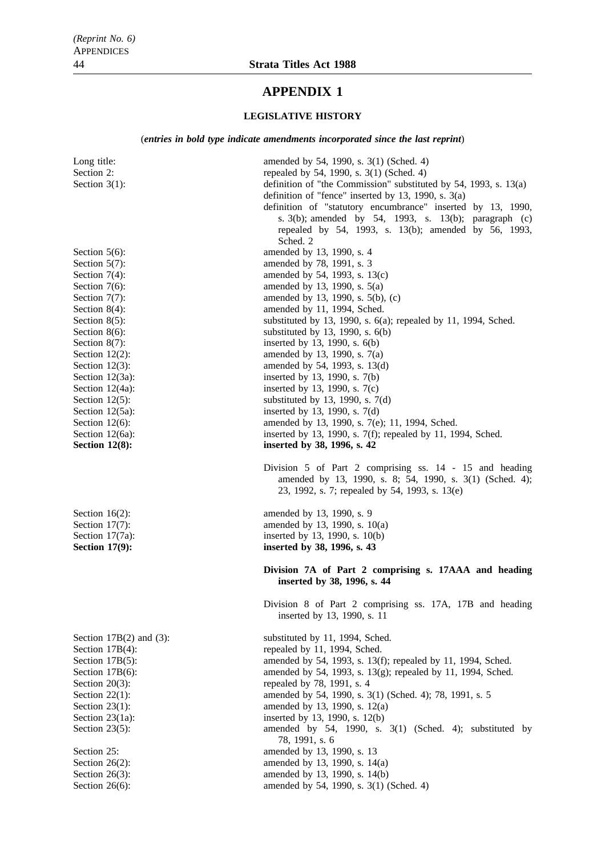# **APPENDIX 1**

#### **LEGISLATIVE HISTORY**

(*entries in bold type indicate amendments incorporated since the last reprint*)

Long title: amended by 54, 1990, s. 3(1) (Sched. 4) Section 2: repealed by 54, 1990, s. 3(1) (Sched. 4) Section 3(1): definition of "the Commission" substituted by 54, 1993, s. 13(a) definition of "fence" inserted by 13, 1990, s. 3(a) definition of "statutory encumbrance" inserted by 13, 1990, s. 3(b); amended by 54, 1993, s. 13(b); paragraph (c) repealed by 54, 1993, s. 13(b); amended by 56, 1993, Sched. 2 Section 5(6):<br>Section 5(7):<br>Section 5(7):<br>Section 5(7):<br>Section 5(7): Section 5(7):<br>
Section 7(4):<br>
Section 7(4):<br>
amended by 54, 1993, s. 1 amended by 54, 1993, s.  $13(c)$ Section  $7(6)$ : amended by 13, 1990, s.  $5(a)$ Section  $7(7)$ : amended by 13, 1990, s.  $5(b)$ , (c) Section 8(4): amended by 11, 1994, Sched. Section 8(5):<br>Section 8(6):<br>Section 8(6):<br>Section 8(6):<br>Section 8(6):<br>Section 8(6): substituted by 13, 1990, s.  $6(b)$ Section  $8(7)$ : inserted by 13, 1990, s.  $6(b)$ Section 12(2): amended by 13, 1990, s.  $7(a)$ Section 12(3): amended by 54, 1993, s. 13(d) Section 12(3a): inserted by 13, 1990, s. 7(b) Section 12(4a): inserted by 13, 1990, s. 7(c) Section 12(5): substituted by 13, 1990, s.  $7(d)$ Section 12(5a): inserted by 13, 1990, s. 7(d) Section 12(6): amended by 13, 1990, s. 7(e); 11, 1994, Sched. Section 12(6a): inserted by 13, 1990, s. 7(f); repealed by 11, 1994, Sched. **Section 12(8):** inserted by 38, 1996, s. 42 Division 5 of Part 2 comprising ss. 14 - 15 and heading amended by 13, 1990, s. 8; 54, 1990, s. 3(1) (Sched. 4); 23, 1992, s. 7; repealed by 54, 1993, s. 13(e) Section 16(2): amended by 13, 1990, s. 9 Section 17(7): amended by 13, 1990, s. 10(a) Section 17(7a): inserted by 13, 1990, s. 10(b) Section 17(9): inserted by 38, 1996, s. 43 **Division 7A of Part 2 comprising s. 17AAA and heading inserted by 38, 1996, s. 44** Division 8 of Part 2 comprising ss. 17A, 17B and heading inserted by 13, 1990, s. 11 Section 17B(2) and (3): substituted by 11, 1994, Sched. Section 17B(4): repealed by 11, 1994, Sched. Section 17B(5): amended by 54, 1993, s. 13(f); repealed by 11, 1994, Sched. Section 17B(6): amended by 54, 1993, s. 13(g); repealed by 11, 1994, Sched. Section 20(3): repealed by 78, 1991, s. 4 Section 22(1): amended by 54, 1990, s. 3(1) (Sched. 4); 78, 1991, s. 5 Section 23(1): amended by 13, 1990, s. 12(a) Section 23(1a): inserted by 13, 1990, s. 12(b) Section 23(5): amended by 54, 1990, s. 3(1) (Sched. 4); substituted by 78, 1991, s. 6 Section 25: **amended** by 13, 1990, s. 13 Section 26(2): amended by 13, 1990, s. 14(a)<br>Section 26(3): amended by 13, 1990, s. 14(b) amended by 13, 1990, s.  $14(b)$ Section 26(6): amended by 54, 1990, s. 3(1) (Sched. 4)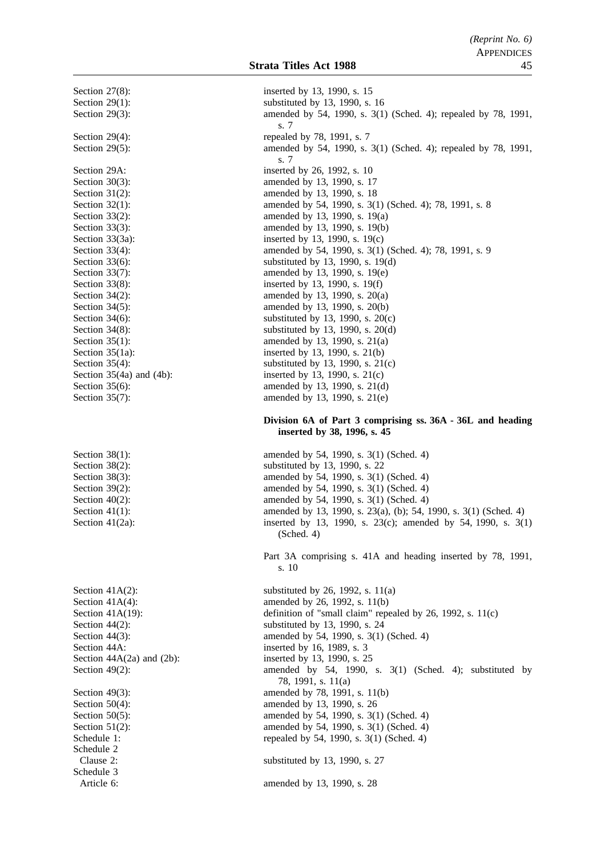Schedule 2 Schedule 3

Section 27(8): inserted by 13, 1990, s. 15 Section 29(1): substituted by 13, 1990, s. 16 Section 29(3): amended by 54, 1990, s. 3(1) (Sched. 4); repealed by 78, 1991, s. 7 Section 29(4): repealed by 78, 1991, s. 7 Section 29(5): amended by 54, 1990, s. 3(1) (Sched. 4); repealed by 78, 1991, s. 7 Section 29A: inserted by 26, 1992, s. 10 Section 30(3): amended by 13, 1990, s. 17 Section 31(2): amended by 13, 1990, s. 18 Section 32(1): amended by 54, 1990, s. 3(1) (Sched. 4); 78, 1991, s. 8 Section 33(2): amended by 13, 1990, s. 19(a) Section 33(3): amended by 13, 1990, s. 19(b) Section 33(3a): inserted by 13, 1990, s. 19(c) Section 33(4): amended by 54, 1990, s. 3(1) (Sched. 4); 78, 1991, s. 9 Section 33(6): substituted by 13, 1990, s. 19(d) Section 33(7): amended by 13, 1990, s. 19(e) Section 33(8): inserted by 13, 1990, s. 19(f) Section 34(2): amended by 13, 1990, s. 20(a) Section 34(5): amended by 13, 1990, s. 20(b) Section  $34(6)$ : substituted by 13, 1990, s.  $20(c)$ Section 34(8): substituted by 13, 1990, s. 20(d) Section 35(1): amended by 13, 1990, s. 21(a) Section 35(1a): inserted by 13, 1990, s. 21(b) Section 35(4): substituted by 13, 1990, s. 21(c)<br>Section 35(4a) and (4b): inserted by 13, 1990, s. 21(c) inserted by 13, 1990, s.  $21(c)$ Section 35(6): amended by 13, 1990, s. 21(d) Section 35(7): amended by 13, 1990, s. 21(e) **Division 6A of Part 3 comprising ss. 36A - 36L and heading inserted by 38, 1996, s. 45** Section 38(1): amended by 54, 1990, s. 3(1) (Sched. 4) Section 38(2):<br>Section 38(3):<br>Section 38(3):<br>Section 38(3):<br>Section 38(3): Section 38(3): amended by 54, 1990, s. 3(1) (Sched. 4)<br>Section 39(2): amended by 54, 1990, s. 3(1) (Sched. 4) amended by 54, 1990, s. 3(1) (Sched. 4) Section 40(2): amended by 54, 1990, s. 3(1) (Sched. 4) Section 41(1): amended by 13, 1990, s. 23(a), (b); 54, 1990, s. 3(1) (Sched. 4) Section 41(2a): inserted by 13, 1990, s. 23(c); amended by 54, 1990, s. 3(1) (Sched. 4) Part 3A comprising s. 41A and heading inserted by 78, 1991, s. 10 Section 41A(2): substituted by 26, 1992, s.  $11(a)$ Section 41A(4): amended by 26, 1992, s. 11(b) Section 41A(19): definition of "small claim" repealed by 26, 1992, s. 11(c) Section 44(2): substituted by 13, 1990, s. 24 Section 44(3): amended by 54, 1990, s. 3(1) (Sched. 4) Section 44A: inserted by 16, 1989, s. 3 Section  $44A(2a)$  and  $(2b)$ : inserted by 13, 1990, s. 25 Section 49(2): amended by 54, 1990, s. 3(1) (Sched. 4); substituted by 78, 1991, s. 11(a) Section 49(3): amended by 78, 1991, s. 11(b) Section 50(4): amended by 13, 1990, s. 26 Section 50(5): amended by 54, 1990, s. 3(1) (Sched. 4) Section 51(2): amended by 54, 1990, s. 3(1) (Sched. 4) Schedule 1: repealed by 54, 1990, s. 3(1) (Sched. 4) Clause 2: substituted by 13, 1990, s. 27 Article 6: amended by 13, 1990, s. 28